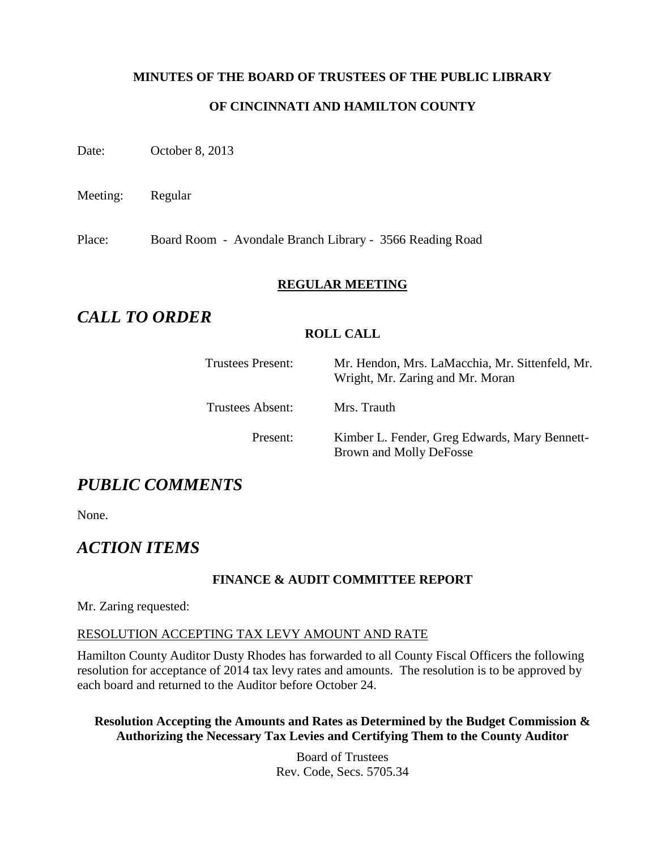## **MINUTES OF THE BOARD OF TRUSTEES OF THE PUBLIC LIBRARY**

## **OF CINCINNATI AND HAMILTON COUNTY**

Date: October 8, 2013

Meeting: Regular

Place: Board Room - Avondale Branch Library - 3566 Reading Road

#### **REGULAR MEETING**

# *CALL TO ORDER*

#### **ROLL CALL**

Trustees Present: Mr. Hendon, Mrs. LaMacchia, Mr. Sittenfeld, Mr. Wright, Mr. Zaring and Mr. Moran

Trustees Absent: Mrs. Trauth

Present: Kimber L. Fender, Greg Edwards, Mary Bennett-Brown and Molly DeFosse

# *PUBLIC COMMENTS*

None.

# *ACTION ITEMS*

## **FINANCE & AUDIT COMMITTEE REPORT**

Mr. Zaring requested:

#### RESOLUTION ACCEPTING TAX LEVY AMOUNT AND RATE

Hamilton County Auditor Dusty Rhodes has forwarded to all County Fiscal Officers the following resolution for acceptance of 2014 tax levy rates and amounts. The resolution is to be approved by each board and returned to the Auditor before October 24.

#### **Resolution Accepting the Amounts and Rates as Determined by the Budget Commission & Authorizing the Necessary Tax Levies and Certifying Them to the County Auditor**

Board of Trustees Rev. Code, Secs. 5705.34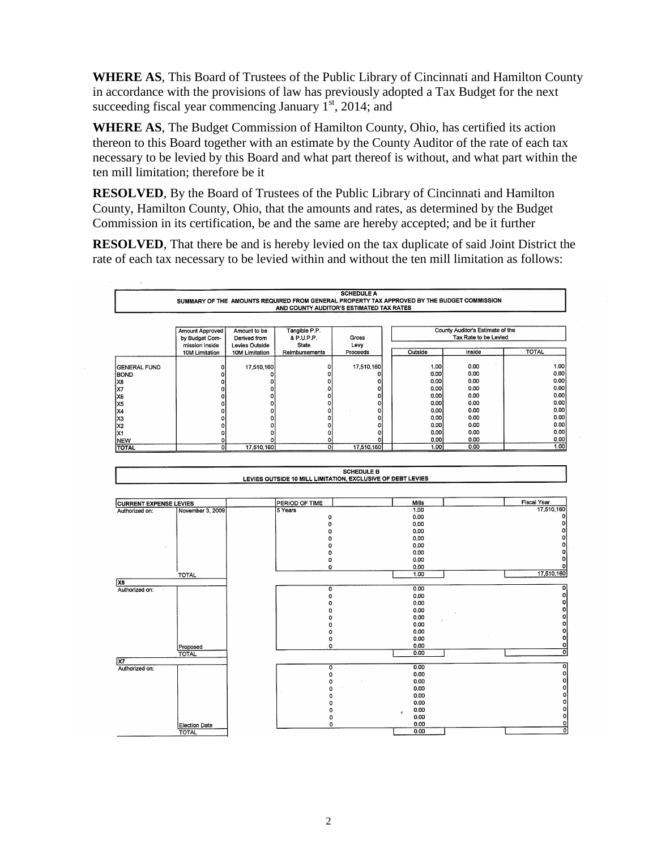**WHERE AS**, This Board of Trustees of the Public Library of Cincinnati and Hamilton County in accordance with the provisions of law has previously adopted a Tax Budget for the next succeeding fiscal year commencing January  $1<sup>st</sup>$ , 2014; and

**WHERE AS**, The Budget Commission of Hamilton County, Ohio, has certified its action thereon to this Board together with an estimate by the County Auditor of the rate of each tax necessary to be levied by this Board and what part thereof is without, and what part within the ten mill limitation; therefore be it

**RESOLVED**, By the Board of Trustees of the Public Library of Cincinnati and Hamilton County, Hamilton County, Ohio, that the amounts and rates, as determined by the Budget Commission in its certification, be and the same are hereby accepted; and be it further

**RESOLVED**, That there be and is hereby levied on the tax duplicate of said Joint District the rate of each tax necessary to be levied within and without the ten mill limitation as follows:

| <b>SCHEDULE A</b><br>SUMMARY OF THE AMOUNTS REQUIRED FROM GENERAL PROPERTY TAX APPROVED BY THE BUDGET COMMISSION<br>AND COUNTY AUDITOR'S ESTIMATED TAX RATES |                                                            |                                                |                                      |               |  |         |                                                           |              |
|--------------------------------------------------------------------------------------------------------------------------------------------------------------|------------------------------------------------------------|------------------------------------------------|--------------------------------------|---------------|--|---------|-----------------------------------------------------------|--------------|
|                                                                                                                                                              | <b>Amount Approved</b><br>by Budget Com-<br>mission Inside | Amount to be<br>Derived from<br>Levies Outside | Tangible P.P.<br>& P.U.P.P.<br>State | Gross<br>Levy |  |         | County Auditor's Estimate of the<br>Tax Rate to be Levied |              |
|                                                                                                                                                              | 10M Limitation                                             | 10M Limitation                                 | Reimbursements                       | Proceeds      |  | Outside | Inside                                                    | <b>TOTAL</b> |
| <b>IGENERAL FUND</b>                                                                                                                                         |                                                            | 17,510,160                                     |                                      | 17,510,160    |  | 1.00    | 0.00                                                      | 1.00         |
| <b>BOND</b>                                                                                                                                                  |                                                            |                                                |                                      |               |  | 0.00    | 0.00                                                      | 0.00         |
| IX8                                                                                                                                                          |                                                            |                                                |                                      |               |  | 0.00    | 0.00                                                      | 0.00         |
| lx7                                                                                                                                                          |                                                            |                                                |                                      |               |  | 0.00    | 0.00                                                      | 0.00         |
| lx6                                                                                                                                                          |                                                            |                                                |                                      | ٥I            |  | 0.00    | 0.00                                                      | 0.00         |
| X5                                                                                                                                                           |                                                            |                                                |                                      | οı            |  | 0.00    | 0.00                                                      | 0.001        |
| X4                                                                                                                                                           |                                                            |                                                |                                      | n             |  | 0.00    | 0.00                                                      | 0.001        |
| lx3                                                                                                                                                          |                                                            |                                                |                                      |               |  | 0.00    | 0.00                                                      | 0.00         |
| lX2                                                                                                                                                          |                                                            |                                                |                                      |               |  | 0.00    | 0.00                                                      | 0.00         |
| lx1                                                                                                                                                          |                                                            |                                                |                                      |               |  | 0,00    | 0.00                                                      | 0.00         |
| <b>NEW</b>                                                                                                                                                   | ΩI                                                         |                                                |                                      |               |  | 0.00    | 0.00                                                      | 0.00         |
| <b>TOTAL</b>                                                                                                                                                 | ٥l                                                         | 17,510,160                                     | 0                                    | 17,510,160    |  | 1.00    | 0.00                                                      | 1.00         |

|                               |                  | <b>SCHEDULE B</b><br>LEVIES OUTSIDE 10 MILL LIMITATION, EXCLUSIVE OF DEBT LEVIES |                   |                    |
|-------------------------------|------------------|----------------------------------------------------------------------------------|-------------------|--------------------|
|                               |                  |                                                                                  |                   |                    |
| <b>CURRENT EXPENSE LEVIES</b> |                  | PERIOD OF TIME                                                                   | Mills             | <b>Fiscal Year</b> |
| Authorized on:                | November 3, 2009 | 5 Years                                                                          | 1.00              | 17,510,160         |
|                               |                  | 0                                                                                | 0.00              | $\Omega$           |
|                               |                  | Ő                                                                                | 0.00              |                    |
|                               |                  |                                                                                  | 0.00              |                    |
|                               |                  |                                                                                  | 0.00              |                    |
|                               |                  |                                                                                  | 0.00              |                    |
|                               |                  |                                                                                  | 0.00              |                    |
|                               |                  |                                                                                  | 0.00              |                    |
|                               |                  | 0                                                                                | 0.00              | o                  |
|                               | TOTAL            |                                                                                  | 1.00              | 17,510,160         |
| X <sub>8</sub>                |                  |                                                                                  |                   |                    |
| Authorized on:                |                  | 0                                                                                | 0.00              | ol                 |
|                               |                  | 0                                                                                | 0.00              | οI                 |
|                               |                  |                                                                                  | 0.00              | ٥I                 |
|                               |                  |                                                                                  | 0.00              | o                  |
|                               |                  |                                                                                  | 0.00              | ٥I                 |
|                               |                  |                                                                                  | 0.00              | ٥I                 |
|                               |                  |                                                                                  | 0.00              | ٥                  |
|                               |                  | ο                                                                                | 0.00              | ٥                  |
|                               | Proposed         | 0                                                                                | 0.00              | 0<br>$\Omega$      |
|                               | <b>TOTAL</b>     |                                                                                  | 0.00              |                    |
| $\overline{X7}$               |                  |                                                                                  | 0.00              | ٥                  |
| Authorized on:                |                  | 0                                                                                | 0.00              | o                  |
|                               |                  | n                                                                                | 0.00              | 0                  |
|                               |                  |                                                                                  | 0.00              | 0                  |
|                               |                  | ŋ                                                                                | 0.00              | 0                  |
|                               |                  |                                                                                  | 0.00              | 0                  |
|                               |                  |                                                                                  | 0.00              | 이                  |
|                               |                  |                                                                                  | $\bullet$<br>0.00 | o                  |
|                               |                  | Ω<br>Ω                                                                           | 0.00              | 0                  |
|                               | Election Date    |                                                                                  | 0.00              | ō                  |
|                               | <b>TOTAL</b>     |                                                                                  |                   |                    |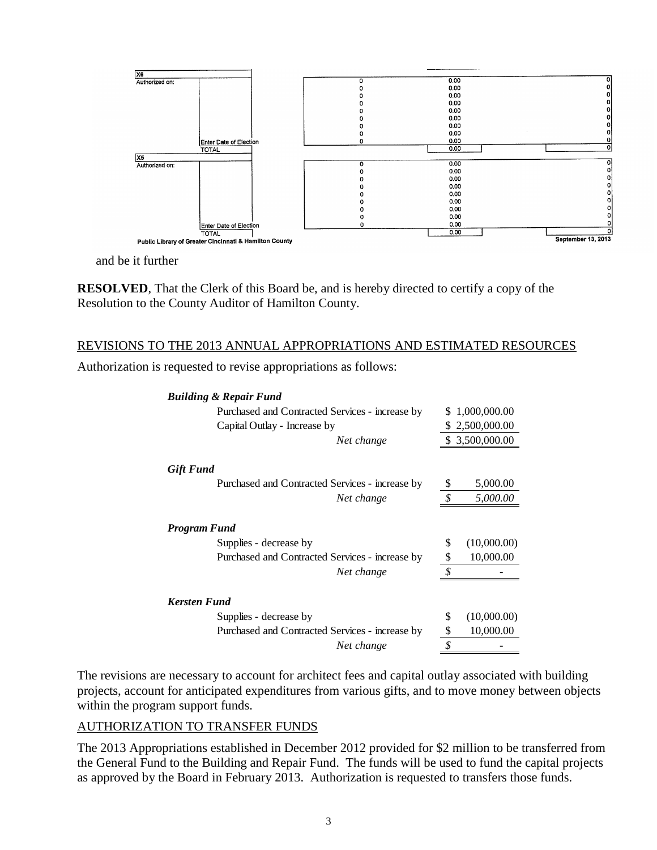

and be it further

**RESOLVED**, That the Clerk of this Board be, and is hereby directed to certify a copy of the Resolution to the County Auditor of Hamilton County.

## REVISIONS TO THE 2013 ANNUAL APPROPRIATIONS AND ESTIMATED RESOURCES

Authorization is requested to revise appropriations as follows:

|                                   | <b>Building &amp; Repair Fund</b>                                                                                                                                                                                                                                                                     |                                                                                                                                                                                                                                                                                                                                                                                                                               |                 |  |
|-----------------------------------|-------------------------------------------------------------------------------------------------------------------------------------------------------------------------------------------------------------------------------------------------------------------------------------------------------|-------------------------------------------------------------------------------------------------------------------------------------------------------------------------------------------------------------------------------------------------------------------------------------------------------------------------------------------------------------------------------------------------------------------------------|-----------------|--|
|                                   | Purchased and Contracted Services - increase by                                                                                                                                                                                                                                                       |                                                                                                                                                                                                                                                                                                                                                                                                                               | \$1,000,000.00  |  |
|                                   | Capital Outlay - Increase by                                                                                                                                                                                                                                                                          |                                                                                                                                                                                                                                                                                                                                                                                                                               | \$2,500,000.00  |  |
|                                   | Net change                                                                                                                                                                                                                                                                                            |                                                                                                                                                                                                                                                                                                                                                                                                                               | \$ 3,500,000.00 |  |
| <b>Gift Fund</b>                  |                                                                                                                                                                                                                                                                                                       |                                                                                                                                                                                                                                                                                                                                                                                                                               |                 |  |
|                                   | Purchased and Contracted Services - increase by                                                                                                                                                                                                                                                       | <sup>\$</sup>                                                                                                                                                                                                                                                                                                                                                                                                                 | 5,000.00        |  |
|                                   | Net change                                                                                                                                                                                                                                                                                            | $\boldsymbol{\mathcal{S}}$                                                                                                                                                                                                                                                                                                                                                                                                    | 5,000.00        |  |
| <b>Program Fund</b>               |                                                                                                                                                                                                                                                                                                       |                                                                                                                                                                                                                                                                                                                                                                                                                               |                 |  |
|                                   | Supplies - decrease by                                                                                                                                                                                                                                                                                | \$                                                                                                                                                                                                                                                                                                                                                                                                                            | (10,000.00)     |  |
|                                   | Purchased and Contracted Services - increase by                                                                                                                                                                                                                                                       | \$                                                                                                                                                                                                                                                                                                                                                                                                                            | 10,000.00       |  |
|                                   | Net change                                                                                                                                                                                                                                                                                            | $\rlap{\hspace{.08em}\raisebox{.4ex}{\hspace{.08em}\raisebox{.4ex}{\hspace{.08em}\raisebox{.4ex}{\hspace{.08em}\raisebox{.4ex}{\hspace{.08em}\raisebox{.4ex}{\hspace{.08em}\raisebox{.4ex}{\hspace{.08em}\raisebox{.4ex}{\hspace{.08em}\raisebox{.4ex}{\hspace{.08em}\raisebox{.4ex}{\hspace{.08em}\raisebox{.4ex}{\hspace{.08em}\raisebox{.4ex}{\hspace{.08em}\raisebox{.4ex}{\hspace{.08em}\raisebox{.4ex}{\hspace{.08em}\$ |                 |  |
| <b>Kersten Fund</b>               |                                                                                                                                                                                                                                                                                                       |                                                                                                                                                                                                                                                                                                                                                                                                                               |                 |  |
|                                   | Supplies - decrease by                                                                                                                                                                                                                                                                                | \$                                                                                                                                                                                                                                                                                                                                                                                                                            | (10,000.00)     |  |
|                                   | Purchased and Contracted Services - increase by                                                                                                                                                                                                                                                       | \$                                                                                                                                                                                                                                                                                                                                                                                                                            | 10,000.00       |  |
|                                   | Net change                                                                                                                                                                                                                                                                                            | \$                                                                                                                                                                                                                                                                                                                                                                                                                            |                 |  |
| within the program support funds. | The revisions are necessary to account for architect fees and capital outlay associated with build<br>projects, account for anticipated expenditures from various gifts, and to move money between of                                                                                                 |                                                                                                                                                                                                                                                                                                                                                                                                                               |                 |  |
| AUTHORIZATION TO TRANSFER FUNDS   |                                                                                                                                                                                                                                                                                                       |                                                                                                                                                                                                                                                                                                                                                                                                                               |                 |  |
|                                   | The 2013 Appropriations established in December 2012 provided for \$2 million to be transferred<br>the General Fund to the Building and Repair Fund. The funds will be used to fund the capital pr<br>as approved by the Board in February 2013. Authorization is requested to transfers those funds. |                                                                                                                                                                                                                                                                                                                                                                                                                               |                 |  |

The revisions are necessary to account for architect fees and capital outlay associated with building projects, account for anticipated expenditures from various gifts, and to move money between objects within the program support funds.

## AUTHORIZATION TO TRANSFER FUNDS

The 2013 Appropriations established in December 2012 provided for \$2 million to be transferred from the General Fund to the Building and Repair Fund. The funds will be used to fund the capital projects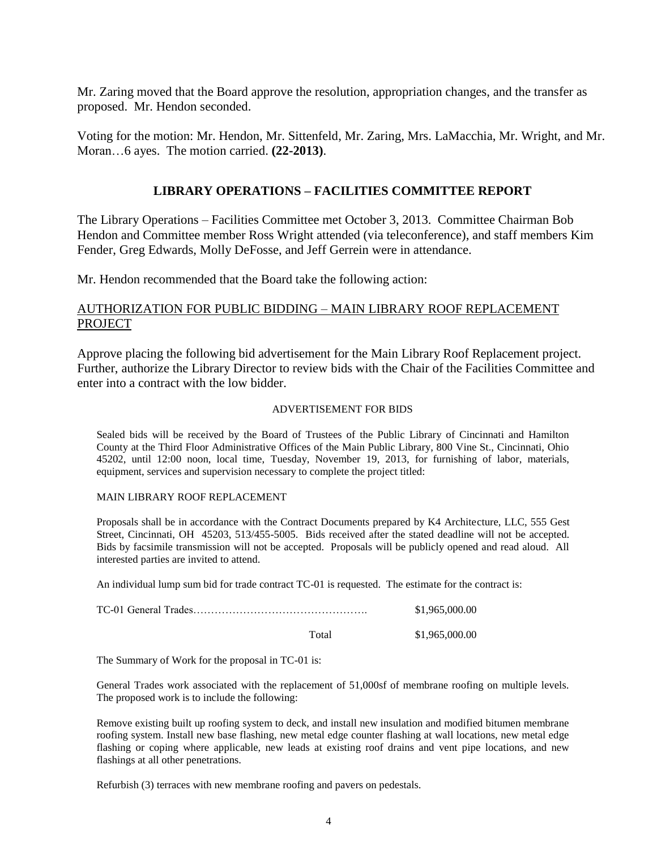Mr. Zaring moved that the Board approve the resolution, appropriation changes, and the transfer as proposed. Mr. Hendon seconded.

Voting for the motion: Mr. Hendon, Mr. Sittenfeld, Mr. Zaring, Mrs. LaMacchia, Mr. Wright, and Mr. Moran…6 ayes. The motion carried. **(22-2013)**.

#### **LIBRARY OPERATIONS – FACILITIES COMMITTEE REPORT**

The Library Operations – Facilities Committee met October 3, 2013. Committee Chairman Bob Hendon and Committee member Ross Wright attended (via teleconference), and staff members Kim Fender, Greg Edwards, Molly DeFosse, and Jeff Gerrein were in attendance.

Mr. Hendon recommended that the Board take the following action:

#### AUTHORIZATION FOR PUBLIC BIDDING – MAIN LIBRARY ROOF REPLACEMENT **PROJECT**

Approve placing the following bid advertisement for the Main Library Roof Replacement project. Further, authorize the Library Director to review bids with the Chair of the Facilities Committee and enter into a contract with the low bidder.

#### ADVERTISEMENT FOR BIDS

Sealed bids will be received by the Board of Trustees of the Public Library of Cincinnati and Hamilton County at the Third Floor Administrative Offices of the Main Public Library, 800 Vine St., Cincinnati, Ohio 45202, until 12:00 noon, local time, Tuesday, November 19, 2013, for furnishing of labor, materials, equipment, services and supervision necessary to complete the project titled:

#### MAIN LIBRARY ROOF REPLACEMENT

Proposals shall be in accordance with the Contract Documents prepared by K4 Architecture, LLC, 555 Gest Street, Cincinnati, OH 45203, 513/455-5005. Bids received after the stated deadline will not be accepted. Bids by facsimile transmission will not be accepted. Proposals will be publicly opened and read aloud. All interested parties are invited to attend.

An individual lump sum bid for trade contract TC-01 is requested. The estimate for the contract is:

|       | \$1,965,000.00 |
|-------|----------------|
| Total | \$1,965,000.00 |

The Summary of Work for the proposal in TC-01 is:

General Trades work associated with the replacement of 51,000sf of membrane roofing on multiple levels. The proposed work is to include the following:

Remove existing built up roofing system to deck, and install new insulation and modified bitumen membrane roofing system. Install new base flashing, new metal edge counter flashing at wall locations, new metal edge flashing or coping where applicable, new leads at existing roof drains and vent pipe locations, and new flashings at all other penetrations.

Refurbish (3) terraces with new membrane roofing and pavers on pedestals.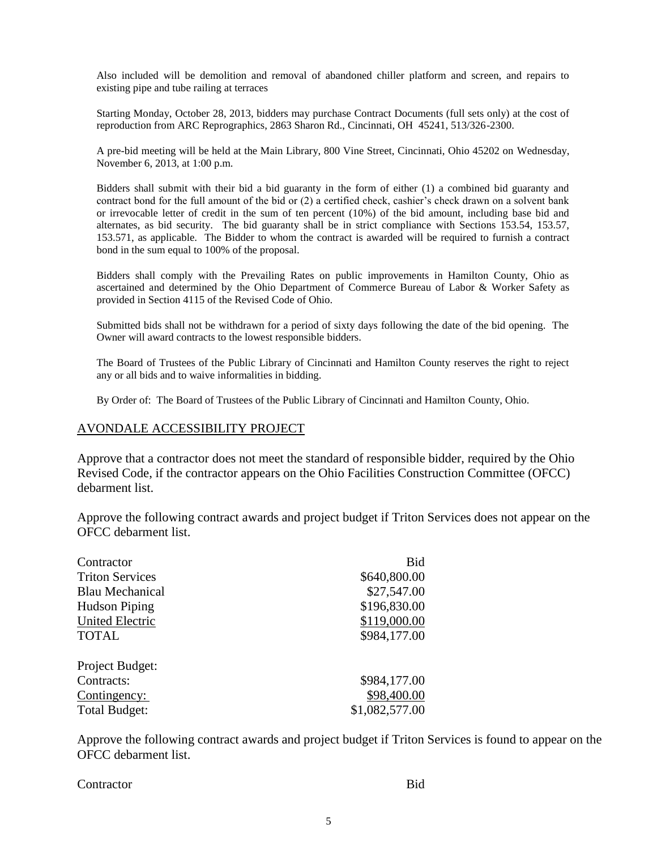Also included will be demolition and removal of abandoned chiller platform and screen, and repairs to existing pipe and tube railing at terraces

Starting Monday, October 28, 2013, bidders may purchase Contract Documents (full sets only) at the cost of reproduction from ARC Reprographics, 2863 Sharon Rd., Cincinnati, OH 45241, 513/326-2300.

A pre-bid meeting will be held at the Main Library, 800 Vine Street, Cincinnati, Ohio 45202 on Wednesday, November 6, 2013, at 1:00 p.m.

Bidders shall submit with their bid a bid guaranty in the form of either (1) a combined bid guaranty and contract bond for the full amount of the bid or (2) a certified check, cashier's check drawn on a solvent bank or irrevocable letter of credit in the sum of ten percent (10%) of the bid amount, including base bid and alternates, as bid security. The bid guaranty shall be in strict compliance with Sections 153.54, 153.57, 153.571, as applicable. The Bidder to whom the contract is awarded will be required to furnish a contract bond in the sum equal to 100% of the proposal.

Bidders shall comply with the Prevailing Rates on public improvements in Hamilton County, Ohio as ascertained and determined by the Ohio Department of Commerce Bureau of Labor & Worker Safety as provided in Section 4115 of the Revised Code of Ohio.

Submitted bids shall not be withdrawn for a period of sixty days following the date of the bid opening. The Owner will award contracts to the lowest responsible bidders.

The Board of Trustees of the Public Library of Cincinnati and Hamilton County reserves the right to reject any or all bids and to waive informalities in bidding.

By Order of: The Board of Trustees of the Public Library of Cincinnati and Hamilton County, Ohio.

#### AVONDALE ACCESSIBILITY PROJECT

Approve that a contractor does not meet the standard of responsible bidder, required by the Ohio Revised Code, if the contractor appears on the Ohio Facilities Construction Committee (OFCC) debarment list.

Approve the following contract awards and project budget if Triton Services does not appear on the OFCC debarment list.

| Contractor             | Bid            |
|------------------------|----------------|
| <b>Triton Services</b> | \$640,800.00   |
| Blau Mechanical        | \$27,547.00    |
| <b>Hudson Piping</b>   | \$196,830.00   |
| <b>United Electric</b> | \$119,000.00   |
| <b>TOTAL</b>           | \$984,177.00   |
| Project Budget:        |                |
| Contracts:             | \$984,177.00   |
| Contingency:           | \$98,400.00    |
| <b>Total Budget:</b>   | \$1,082,577.00 |

Approve the following contract awards and project budget if Triton Services is found to appear on the OFCC debarment list.

Contractor Bid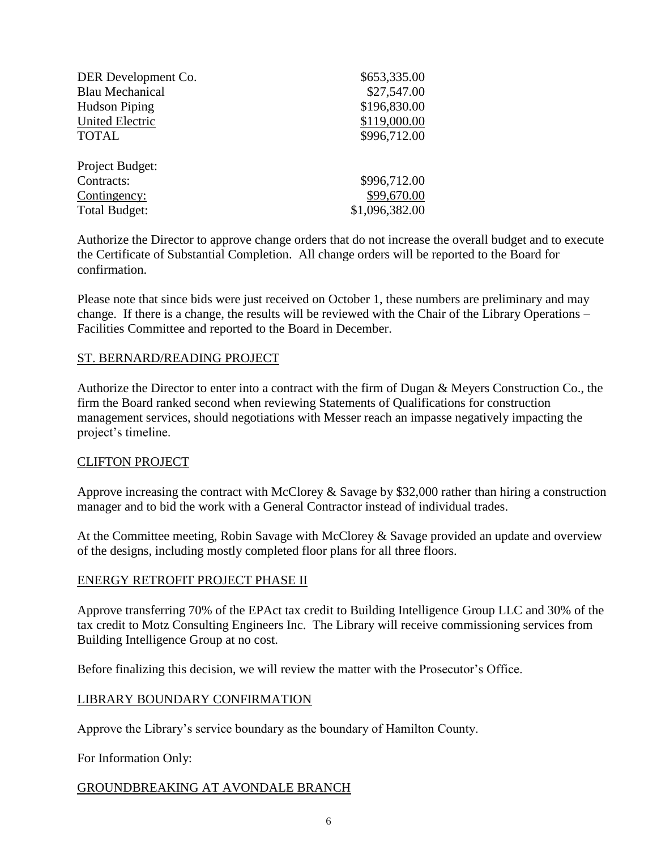| DER Development Co.    | \$653,335.00   |
|------------------------|----------------|
| <b>Blau Mechanical</b> | \$27,547.00    |
| <b>Hudson Piping</b>   | \$196,830.00   |
| <b>United Electric</b> | \$119,000.00   |
| <b>TOTAL</b>           | \$996,712.00   |
| Project Budget:        |                |
| Contracts:             | \$996,712.00   |
| Contingency:           | \$99,670.00    |
| <b>Total Budget:</b>   | \$1,096,382.00 |

Authorize the Director to approve change orders that do not increase the overall budget and to execute the Certificate of Substantial Completion. All change orders will be reported to the Board for confirmation.

Please note that since bids were just received on October 1, these numbers are preliminary and may change. If there is a change, the results will be reviewed with the Chair of the Library Operations – Facilities Committee and reported to the Board in December.

#### ST. BERNARD/READING PROJECT

Authorize the Director to enter into a contract with the firm of Dugan & Meyers Construction Co., the firm the Board ranked second when reviewing Statements of Qualifications for construction management services, should negotiations with Messer reach an impasse negatively impacting the project's timeline.

#### CLIFTON PROJECT

Approve increasing the contract with McClorey & Savage by \$32,000 rather than hiring a construction manager and to bid the work with a General Contractor instead of individual trades.

At the Committee meeting, Robin Savage with McClorey & Savage provided an update and overview of the designs, including mostly completed floor plans for all three floors.

#### ENERGY RETROFIT PROJECT PHASE II

Approve transferring 70% of the EPAct tax credit to Building Intelligence Group LLC and 30% of the tax credit to Motz Consulting Engineers Inc. The Library will receive commissioning services from Building Intelligence Group at no cost.

Before finalizing this decision, we will review the matter with the Prosecutor's Office.

#### LIBRARY BOUNDARY CONFIRMATION

Approve the Library's service boundary as the boundary of Hamilton County.

For Information Only:

## GROUNDBREAKING AT AVONDALE BRANCH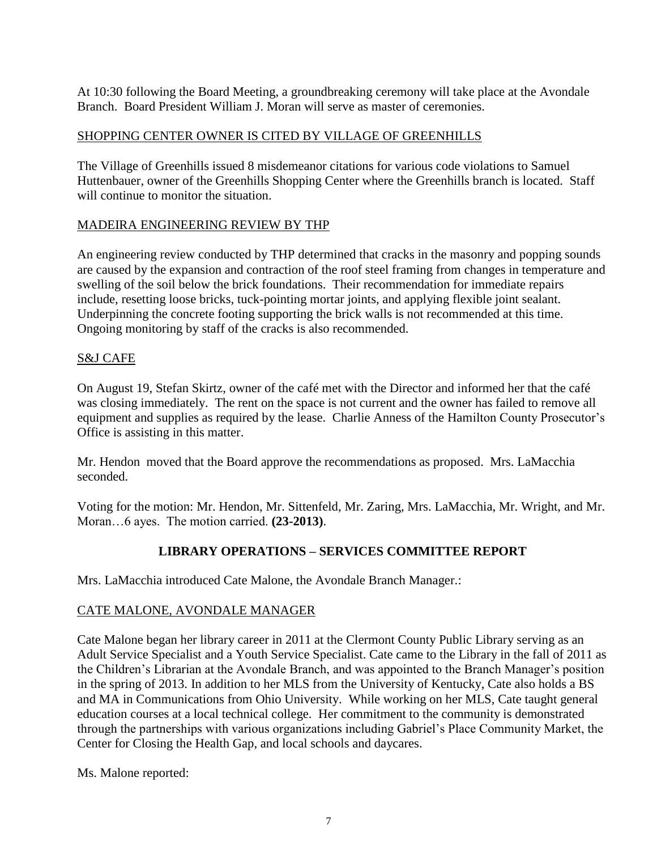At 10:30 following the Board Meeting, a groundbreaking ceremony will take place at the Avondale Branch. Board President William J. Moran will serve as master of ceremonies.

# SHOPPING CENTER OWNER IS CITED BY VILLAGE OF GREENHILLS

The Village of Greenhills issued 8 misdemeanor citations for various code violations to Samuel Huttenbauer, owner of the Greenhills Shopping Center where the Greenhills branch is located. Staff will continue to monitor the situation.

## MADEIRA ENGINEERING REVIEW BY THP

An engineering review conducted by THP determined that cracks in the masonry and popping sounds are caused by the expansion and contraction of the roof steel framing from changes in temperature and swelling of the soil below the brick foundations. Their recommendation for immediate repairs include, resetting loose bricks, tuck-pointing mortar joints, and applying flexible joint sealant. Underpinning the concrete footing supporting the brick walls is not recommended at this time. Ongoing monitoring by staff of the cracks is also recommended.

# S&J CAFE

On August 19, Stefan Skirtz, owner of the café met with the Director and informed her that the café was closing immediately. The rent on the space is not current and the owner has failed to remove all equipment and supplies as required by the lease. Charlie Anness of the Hamilton County Prosecutor's Office is assisting in this matter.

Mr. Hendon moved that the Board approve the recommendations as proposed. Mrs. LaMacchia seconded.

Voting for the motion: Mr. Hendon, Mr. Sittenfeld, Mr. Zaring, Mrs. LaMacchia, Mr. Wright, and Mr. Moran…6 ayes. The motion carried. **(23-2013)**.

# **LIBRARY OPERATIONS – SERVICES COMMITTEE REPORT**

Mrs. LaMacchia introduced Cate Malone, the Avondale Branch Manager.:

## CATE MALONE, AVONDALE MANAGER

Cate Malone began her library career in 2011 at the Clermont County Public Library serving as an Adult Service Specialist and a Youth Service Specialist. Cate came to the Library in the fall of 2011 as the Children's Librarian at the Avondale Branch, and was appointed to the Branch Manager's position in the spring of 2013. In addition to her MLS from the University of Kentucky, Cate also holds a BS and MA in Communications from Ohio University. While working on her MLS, Cate taught general education courses at a local technical college. Her commitment to the community is demonstrated through the partnerships with various organizations including Gabriel's Place Community Market, the Center for Closing the Health Gap, and local schools and daycares.

Ms. Malone reported: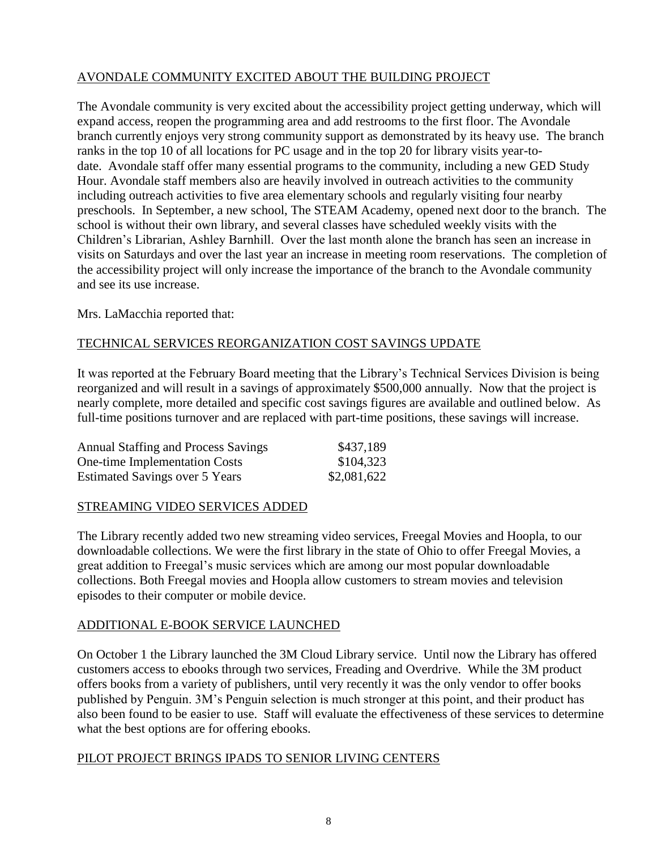# AVONDALE COMMUNITY EXCITED ABOUT THE BUILDING PROJECT

The Avondale community is very excited about the accessibility project getting underway, which will expand access, reopen the programming area and add restrooms to the first floor. The Avondale branch currently enjoys very strong community support as demonstrated by its heavy use. The branch ranks in the top 10 of all locations for PC usage and in the top 20 for library visits year-todate. Avondale staff offer many essential programs to the community, including a new GED Study Hour. Avondale staff members also are heavily involved in outreach activities to the community including outreach activities to five area elementary schools and regularly visiting four nearby preschools. In September, a new school, The STEAM Academy, opened next door to the branch. The school is without their own library, and several classes have scheduled weekly visits with the Children's Librarian, Ashley Barnhill. Over the last month alone the branch has seen an increase in visits on Saturdays and over the last year an increase in meeting room reservations. The completion of the accessibility project will only increase the importance of the branch to the Avondale community and see its use increase.

Mrs. LaMacchia reported that:

# TECHNICAL SERVICES REORGANIZATION COST SAVINGS UPDATE

It was reported at the February Board meeting that the Library's Technical Services Division is being reorganized and will result in a savings of approximately \$500,000 annually. Now that the project is nearly complete, more detailed and specific cost savings figures are available and outlined below. As full-time positions turnover and are replaced with part-time positions, these savings will increase.

| <b>Annual Staffing and Process Savings</b> | \$437,189   |
|--------------------------------------------|-------------|
| <b>One-time Implementation Costs</b>       | \$104,323   |
| <b>Estimated Savings over 5 Years</b>      | \$2,081,622 |

## STREAMING VIDEO SERVICES ADDED

The Library recently added two new streaming video services, Freegal Movies and Hoopla, to our downloadable collections. We were the first library in the state of Ohio to offer Freegal Movies, a great addition to Freegal's music services which are among our most popular downloadable collections. Both Freegal movies and Hoopla allow customers to stream movies and television episodes to their computer or mobile device.

## ADDITIONAL E-BOOK SERVICE LAUNCHED

On October 1 the Library launched the 3M Cloud Library service. Until now the Library has offered customers access to ebooks through two services, Freading and Overdrive. While the 3M product offers books from a variety of publishers, until very recently it was the only vendor to offer books published by Penguin. 3M's Penguin selection is much stronger at this point, and their product has also been found to be easier to use. Staff will evaluate the effectiveness of these services to determine what the best options are for offering ebooks.

## PILOT PROJECT BRINGS IPADS TO SENIOR LIVING CENTERS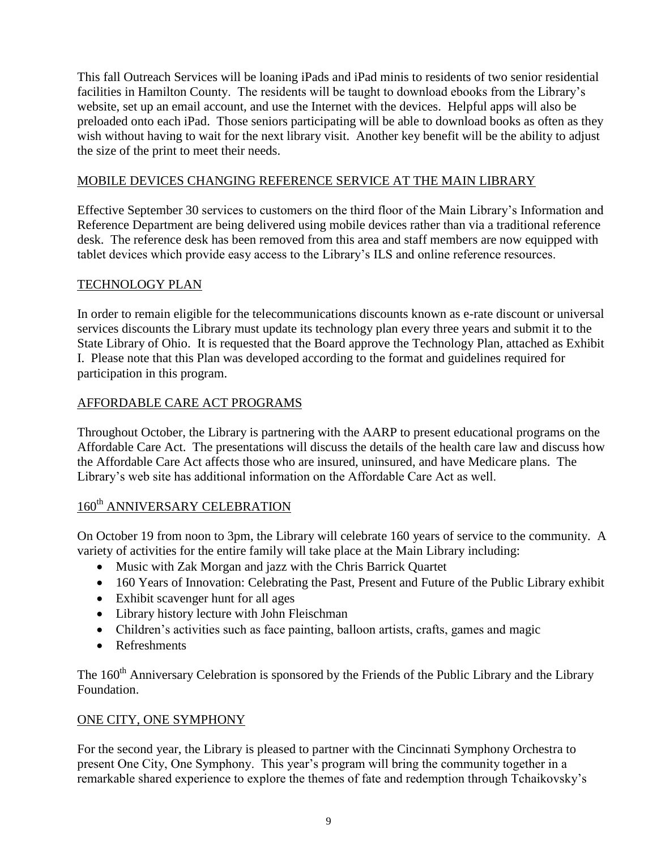This fall Outreach Services will be loaning iPads and iPad minis to residents of two senior residential facilities in Hamilton County. The residents will be taught to download ebooks from the Library's website, set up an email account, and use the Internet with the devices. Helpful apps will also be preloaded onto each iPad. Those seniors participating will be able to download books as often as they wish without having to wait for the next library visit. Another key benefit will be the ability to adjust the size of the print to meet their needs.

## MOBILE DEVICES CHANGING REFERENCE SERVICE AT THE MAIN LIBRARY

Effective September 30 services to customers on the third floor of the Main Library's Information and Reference Department are being delivered using mobile devices rather than via a traditional reference desk. The reference desk has been removed from this area and staff members are now equipped with tablet devices which provide easy access to the Library's ILS and online reference resources.

#### TECHNOLOGY PLAN

In order to remain eligible for the telecommunications discounts known as e-rate discount or universal services discounts the Library must update its technology plan every three years and submit it to the State Library of Ohio. It is requested that the Board approve the Technology Plan, attached as Exhibit I. Please note that this Plan was developed according to the format and guidelines required for participation in this program.

#### AFFORDABLE CARE ACT PROGRAMS

Throughout October, the Library is partnering with the AARP to present educational programs on the Affordable Care Act. The presentations will discuss the details of the health care law and discuss how the Affordable Care Act affects those who are insured, uninsured, and have Medicare plans. The Library's web site has additional information on the Affordable Care Act as well.

# 160<sup>th</sup> ANNIVERSARY CELEBRATION

On October 19 from noon to 3pm, the Library will celebrate 160 years of service to the community. A variety of activities for the entire family will take place at the Main Library including:

- Music with Zak Morgan and jazz with the Chris Barrick Quartet
- 160 Years of Innovation: Celebrating the Past, Present and Future of the Public Library exhibit
- Exhibit scavenger hunt for all ages
- Library history lecture with John Fleischman
- Children's activities such as face painting, balloon artists, crafts, games and magic
- Refreshments

The 160<sup>th</sup> Anniversary Celebration is sponsored by the Friends of the Public Library and the Library Foundation.

## ONE CITY, ONE SYMPHONY

For the second year, the Library is pleased to partner with the Cincinnati Symphony Orchestra to present One City, One Symphony. This year's program will bring the community together in a remarkable shared experience to explore the themes of fate and redemption through Tchaikovsky's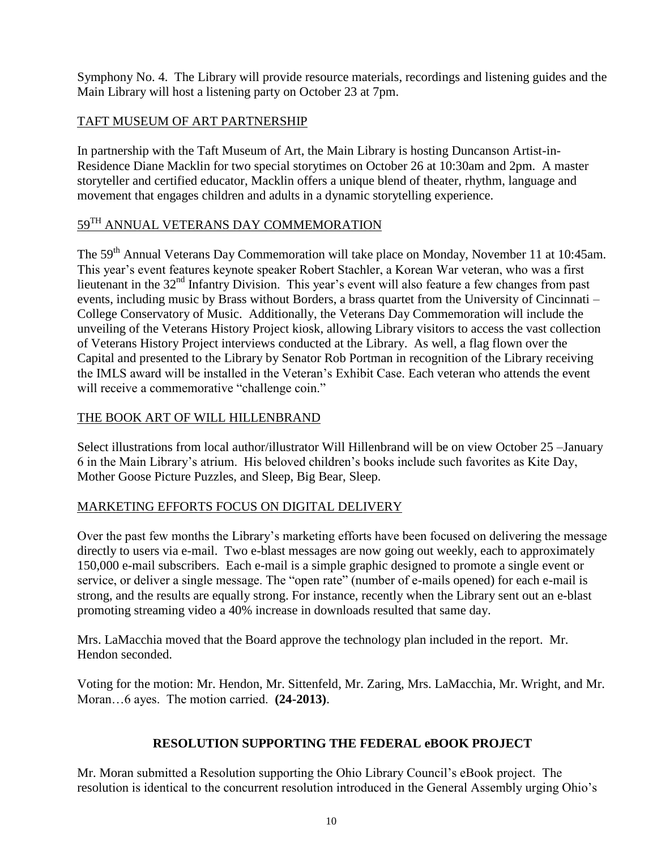Symphony No. 4. The Library will provide resource materials, recordings and listening guides and the Main Library will host a listening party on October 23 at 7pm.

# TAFT MUSEUM OF ART PARTNERSHIP

In partnership with the Taft Museum of Art, the Main Library is hosting Duncanson Artist-in-Residence Diane Macklin for two special storytimes on October 26 at 10:30am and 2pm. A master storyteller and certified educator, Macklin offers a unique blend of theater, rhythm, language and movement that engages children and adults in a dynamic storytelling experience.

# 59TH ANNUAL VETERANS DAY COMMEMORATION

The 59<sup>th</sup> Annual Veterans Day Commemoration will take place on Monday, November 11 at 10:45am. This year's event features keynote speaker Robert Stachler, a Korean War veteran, who was a first lieutenant in the 32<sup>nd</sup> Infantry Division. This year's event will also feature a few changes from past events, including music by Brass without Borders, a brass quartet from the University of Cincinnati – College Conservatory of Music. Additionally, the Veterans Day Commemoration will include the unveiling of the Veterans History Project kiosk, allowing Library visitors to access the vast collection of Veterans History Project interviews conducted at the Library. As well, a flag flown over the Capital and presented to the Library by Senator Rob Portman in recognition of the Library receiving the IMLS award will be installed in the Veteran's Exhibit Case. Each veteran who attends the event will receive a commemorative "challenge coin."

## THE BOOK ART OF WILL HILLENBRAND

Select illustrations from local author/illustrator Will Hillenbrand will be on view October 25 –January 6 in the Main Library's atrium. His beloved children's books include such favorites as Kite Day, Mother Goose Picture Puzzles, and Sleep, Big Bear, Sleep.

## MARKETING EFFORTS FOCUS ON DIGITAL DELIVERY

Over the past few months the Library's marketing efforts have been focused on delivering the message directly to users via e-mail. Two e-blast messages are now going out weekly, each to approximately 150,000 e-mail subscribers. Each e-mail is a simple graphic designed to promote a single event or service, or deliver a single message. The "open rate" (number of e-mails opened) for each e-mail is strong, and the results are equally strong. For instance, recently when the Library sent out an e-blast promoting streaming video a 40% increase in downloads resulted that same day.

Mrs. LaMacchia moved that the Board approve the technology plan included in the report. Mr. Hendon seconded.

Voting for the motion: Mr. Hendon, Mr. Sittenfeld, Mr. Zaring, Mrs. LaMacchia, Mr. Wright, and Mr. Moran…6 ayes. The motion carried. **(24-2013)**.

## **RESOLUTION SUPPORTING THE FEDERAL eBOOK PROJECT**

Mr. Moran submitted a Resolution supporting the Ohio Library Council's eBook project. The resolution is identical to the concurrent resolution introduced in the General Assembly urging Ohio's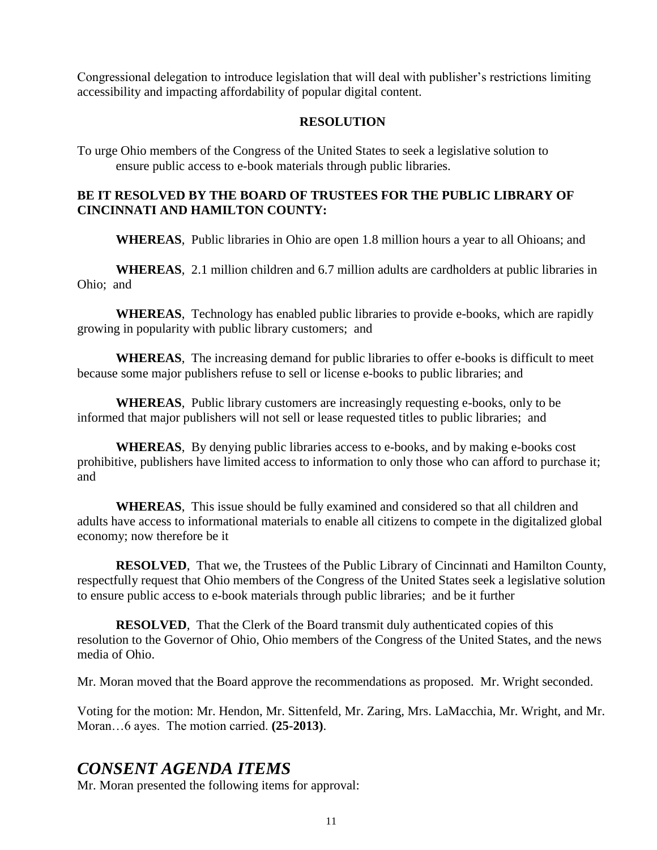Congressional delegation to introduce legislation that will deal with publisher's restrictions limiting accessibility and impacting affordability of popular digital content.

## **RESOLUTION**

To urge Ohio members of the Congress of the United States to seek a legislative solution to ensure public access to e-book materials through public libraries.

# **BE IT RESOLVED BY THE BOARD OF TRUSTEES FOR THE PUBLIC LIBRARY OF CINCINNATI AND HAMILTON COUNTY:**

**WHEREAS**, Public libraries in Ohio are open 1.8 million hours a year to all Ohioans; and

**WHEREAS**, 2.1 million children and 6.7 million adults are cardholders at public libraries in Ohio; and

**WHEREAS**, Technology has enabled public libraries to provide e-books, which are rapidly growing in popularity with public library customers; and

**WHEREAS**, The increasing demand for public libraries to offer e-books is difficult to meet because some major publishers refuse to sell or license e-books to public libraries; and

**WHEREAS**, Public library customers are increasingly requesting e-books, only to be informed that major publishers will not sell or lease requested titles to public libraries; and

**WHEREAS**, By denying public libraries access to e-books, and by making e-books cost prohibitive, publishers have limited access to information to only those who can afford to purchase it; and

**WHEREAS**, This issue should be fully examined and considered so that all children and adults have access to informational materials to enable all citizens to compete in the digitalized global economy; now therefore be it

**RESOLVED**, That we, the Trustees of the Public Library of Cincinnati and Hamilton County, respectfully request that Ohio members of the Congress of the United States seek a legislative solution to ensure public access to e-book materials through public libraries; and be it further

**RESOLVED.** That the Clerk of the Board transmit duly authenticated copies of this resolution to the Governor of Ohio, Ohio members of the Congress of the United States, and the news media of Ohio.

Mr. Moran moved that the Board approve the recommendations as proposed. Mr. Wright seconded.

Voting for the motion: Mr. Hendon, Mr. Sittenfeld, Mr. Zaring, Mrs. LaMacchia, Mr. Wright, and Mr. Moran…6 ayes. The motion carried. **(25-2013)**.

# *CONSENT AGENDA ITEMS*

Mr. Moran presented the following items for approval: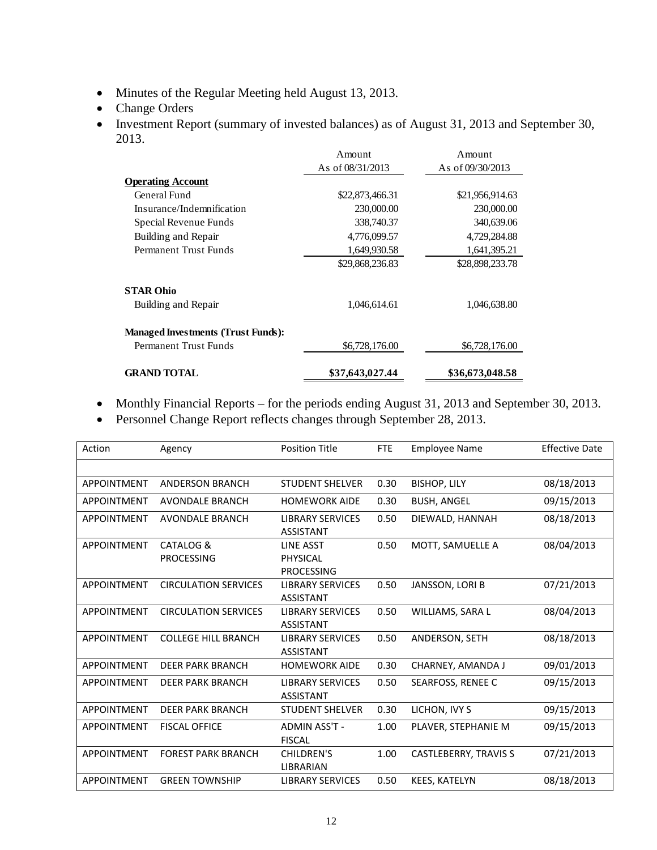- Minutes of the Regular Meeting held August 13, 2013.
- Change Orders
- Investment Report (summary of invested balances) as of August 31, 2013 and September 30, 2013.

|                                           | Amount             | Amount             |
|-------------------------------------------|--------------------|--------------------|
|                                           | As of $08/31/2013$ | As of $09/30/2013$ |
| <b>Operating Account</b>                  |                    |                    |
| General Fund                              | \$22,873,466.31    | \$21,956,914.63    |
| Insurance/Indemnification                 | 230,000.00         | 230,000.00         |
| Special Revenue Funds                     | 338,740.37         | 340,639.06         |
| Building and Repair                       | 4,776,099.57       | 4,729,284.88       |
| Permanent Trust Funds                     | 1,649,930.58       | 1,641,395.21       |
|                                           | \$29,868,236.83    | \$28,898,233.78    |
| <b>STAR Ohio</b>                          |                    |                    |
| Building and Repair                       | 1,046,614.61       | 1,046,638.80       |
| <b>Managed Investments (Trust Funds):</b> |                    |                    |
| Permanent Trust Funds                     | \$6,728,176.00     | \$6,728,176.00     |
| <b>GRAND TOTAL</b>                        | \$37,643,027.44    | \$36,673,048.58    |

- Monthly Financial Reports for the periods ending August 31, 2013 and September 30, 2013.
- Personnel Change Report reflects changes through September 28, 2013.

|                              |                                                                                |               | Amount                                      |                | Amount                       |                       |
|------------------------------|--------------------------------------------------------------------------------|---------------|---------------------------------------------|----------------|------------------------------|-----------------------|
|                              |                                                                                |               | As of 08/31/2013                            |                | As of 09/30/2013             |                       |
|                              | <b>Operating Account</b>                                                       |               |                                             |                |                              |                       |
|                              | General Fund                                                                   |               | \$22,873,466.31                             |                | \$21,956,914.63              |                       |
|                              | Insurance/Indemnification                                                      |               |                                             | 230,000.00     | 230,000.00                   |                       |
|                              | Special Revenue Funds                                                          |               |                                             | 338,740.37     | 340,639.06                   |                       |
|                              | Building and Repair                                                            |               |                                             | 4,776,099.57   | 4,729,284.88                 |                       |
| <b>Permanent Trust Funds</b> |                                                                                |               |                                             | 1,649,930.58   | 1,641,395.21                 |                       |
|                              |                                                                                |               | \$29,868,236.83                             |                | \$28,898,233.78              |                       |
| <b>STAR Ohio</b>             |                                                                                |               |                                             |                |                              |                       |
|                              | Building and Repair                                                            |               |                                             | 1,046,614.61   | 1,046,638.80                 |                       |
|                              | <b>Managed Investments (Trust Funds):</b>                                      |               |                                             |                |                              |                       |
|                              | <b>Permanent Trust Funds</b>                                                   |               |                                             | \$6,728,176.00 | \$6,728,176.00               |                       |
|                              | <b>GRAND TOTAL</b>                                                             |               | \$37,643,027.44                             |                | \$36,673,048.58              |                       |
| Action                       | Personnel Change Report reflects changes through September 28, 2013.<br>Agency |               | <b>Position Title</b>                       | <b>FTE</b>     | <b>Employee Name</b>         | <b>Effective Date</b> |
|                              |                                                                                |               |                                             |                |                              |                       |
|                              |                                                                                |               |                                             |                |                              |                       |
| APPOINTMENT                  | <b>ANDERSON BRANCH</b>                                                         |               | <b>STUDENT SHELVER</b>                      | 0.30           | <b>BISHOP, LILY</b>          | 08/18/2013            |
| APPOINTMENT                  | AVONDALE BRANCH                                                                |               | <b>HOMEWORK AIDE</b>                        | 0.30           | <b>BUSH, ANGEL</b>           | 09/15/2013            |
| APPOINTMENT                  | <b>AVONDALE BRANCH</b>                                                         |               | <b>LIBRARY SERVICES</b><br><b>ASSISTANT</b> | 0.50           | DIEWALD, HANNAH              | 08/18/2013            |
| APPOINTMENT                  | CATALOG &                                                                      |               | LINE ASST                                   | 0.50           | MOTT, SAMUELLE A             | 08/04/2013            |
|                              | <b>PROCESSING</b>                                                              |               | PHYSICAL<br><b>PROCESSING</b>               |                |                              |                       |
| APPOINTMENT                  | <b>CIRCULATION SERVICES</b>                                                    |               | <b>LIBRARY SERVICES</b><br><b>ASSISTANT</b> | 0.50           | JANSSON, LORI B              | 07/21/2013            |
| APPOINTMENT                  | <b>CIRCULATION SERVICES</b>                                                    |               | <b>LIBRARY SERVICES</b><br><b>ASSISTANT</b> | 0.50           | WILLIAMS, SARA L             | 08/04/2013            |
| APPOINTMENT                  | <b>COLLEGE HILL BRANCH</b>                                                     |               | <b>LIBRARY SERVICES</b><br><b>ASSISTANT</b> | 0.50           | ANDERSON, SETH               | 08/18/2013            |
| APPOINTMENT                  | DEER PARK BRANCH                                                               |               | <b>HOMEWORK AIDE</b>                        | 0.30           | CHARNEY, AMANDA J            | 09/01/2013            |
| APPOINTMENT                  | <b>DEER PARK BRANCH</b>                                                        |               | <b>LIBRARY SERVICES</b><br><b>ASSISTANT</b> | 0.50           | SEARFOSS, RENEE C            | 09/15/2013            |
| APPOINTMENT                  | <b>DEER PARK BRANCH</b>                                                        |               | <b>STUDENT SHELVER</b>                      | 0.30           | LICHON, IVY S                | 09/15/2013            |
| APPOINTMENT                  | <b>FISCAL OFFICE</b>                                                           | <b>FISCAL</b> | ADMIN ASS'T -                               | 1.00           | PLAVER, STEPHANIE M          | 09/15/2013            |
| APPOINTMENT                  | <b>FOREST PARK BRANCH</b>                                                      |               | CHILDREN'S<br>LIBRARIAN                     | 1.00           | <b>CASTLEBERRY, TRAVIS S</b> | 07/21/2013            |
| APPOINTMENT                  | <b>GREEN TOWNSHIP</b>                                                          |               | <b>LIBRARY SERVICES</b>                     | 0.50           | KEES, KATELYN                | 08/18/2013            |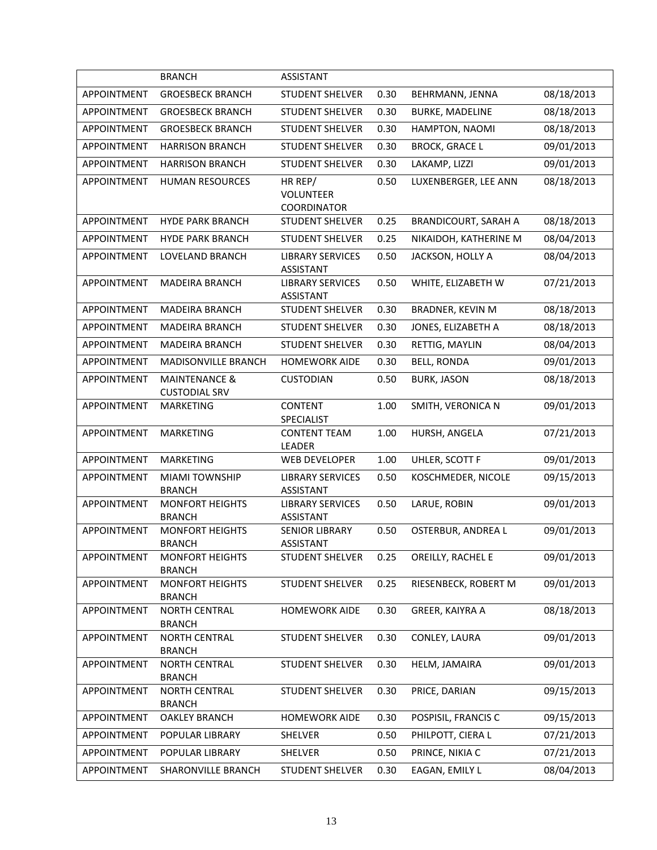|                    | <b>BRANCH</b>                                    | <b>ASSISTANT</b>                             |      |                             |            |
|--------------------|--------------------------------------------------|----------------------------------------------|------|-----------------------------|------------|
| <b>APPOINTMENT</b> | <b>GROESBECK BRANCH</b>                          | <b>STUDENT SHELVER</b>                       | 0.30 | BEHRMANN, JENNA             | 08/18/2013 |
| APPOINTMENT        | <b>GROESBECK BRANCH</b>                          | <b>STUDENT SHELVER</b>                       | 0.30 | <b>BURKE, MADELINE</b>      | 08/18/2013 |
| <b>APPOINTMENT</b> | <b>GROESBECK BRANCH</b>                          | <b>STUDENT SHELVER</b>                       | 0.30 | HAMPTON, NAOMI              | 08/18/2013 |
| <b>APPOINTMENT</b> | <b>HARRISON BRANCH</b>                           | <b>STUDENT SHELVER</b>                       | 0.30 | <b>BROCK, GRACE L</b>       | 09/01/2013 |
| APPOINTMENT        | <b>HARRISON BRANCH</b>                           | <b>STUDENT SHELVER</b>                       | 0.30 | LAKAMP, LIZZI               | 09/01/2013 |
| APPOINTMENT        | <b>HUMAN RESOURCES</b>                           | HR REP/                                      | 0.50 | LUXENBERGER, LEE ANN        | 08/18/2013 |
|                    |                                                  | <b>VOLUNTEER</b>                             |      |                             |            |
| APPOINTMENT        | <b>HYDE PARK BRANCH</b>                          | <b>COORDINATOR</b><br><b>STUDENT SHELVER</b> | 0.25 | <b>BRANDICOURT, SARAH A</b> | 08/18/2013 |
| <b>APPOINTMENT</b> | <b>HYDE PARK BRANCH</b>                          | <b>STUDENT SHELVER</b>                       | 0.25 | NIKAIDOH, KATHERINE M       | 08/04/2013 |
| APPOINTMENT        | LOVELAND BRANCH                                  | <b>LIBRARY SERVICES</b>                      | 0.50 | JACKSON, HOLLY A            | 08/04/2013 |
|                    |                                                  | <b>ASSISTANT</b>                             |      |                             |            |
| APPOINTMENT        | <b>MADEIRA BRANCH</b>                            | <b>LIBRARY SERVICES</b><br><b>ASSISTANT</b>  | 0.50 | WHITE, ELIZABETH W          | 07/21/2013 |
| APPOINTMENT        | <b>MADEIRA BRANCH</b>                            | <b>STUDENT SHELVER</b>                       | 0.30 | <b>BRADNER, KEVIN M</b>     | 08/18/2013 |
| APPOINTMENT        | <b>MADEIRA BRANCH</b>                            | <b>STUDENT SHELVER</b>                       | 0.30 | JONES, ELIZABETH A          | 08/18/2013 |
| APPOINTMENT        | <b>MADEIRA BRANCH</b>                            | <b>STUDENT SHELVER</b>                       | 0.30 | RETTIG, MAYLIN              | 08/04/2013 |
| <b>APPOINTMENT</b> | MADISONVILLE BRANCH                              | <b>HOMEWORK AIDE</b>                         | 0.30 | <b>BELL, RONDA</b>          | 09/01/2013 |
| APPOINTMENT        | <b>MAINTENANCE &amp;</b><br><b>CUSTODIAL SRV</b> | <b>CUSTODIAN</b>                             | 0.50 | <b>BURK, JASON</b>          | 08/18/2013 |
| APPOINTMENT        | <b>MARKETING</b>                                 | <b>CONTENT</b><br>SPECIALIST                 | 1.00 | SMITH, VERONICA N           | 09/01/2013 |
| APPOINTMENT        | <b>MARKETING</b>                                 | <b>CONTENT TEAM</b><br>LEADER                | 1.00 | HURSH, ANGELA               | 07/21/2013 |
| APPOINTMENT        | <b>MARKETING</b>                                 | <b>WEB DEVELOPER</b>                         | 1.00 | UHLER, SCOTT F              | 09/01/2013 |
| APPOINTMENT        | <b>MIAMI TOWNSHIP</b>                            | <b>LIBRARY SERVICES</b>                      | 0.50 | KOSCHMEDER, NICOLE          | 09/15/2013 |
| APPOINTMENT        | <b>BRANCH</b><br><b>MONFORT HEIGHTS</b>          | <b>ASSISTANT</b><br><b>LIBRARY SERVICES</b>  | 0.50 | LARUE, ROBIN                | 09/01/2013 |
|                    | <b>BRANCH</b>                                    | <b>ASSISTANT</b>                             |      |                             |            |
| APPOINTMENT        | <b>MONFORT HEIGHTS</b>                           | <b>SENIOR LIBRARY</b>                        | 0.50 | OSTERBUR, ANDREA L          | 09/01/2013 |
|                    | <b>BRANCH</b><br><b>MONFORT HEIGHTS</b>          | ASSISTANT                                    |      |                             | 09/01/2013 |
| APPOINTMENT        | <b>BRANCH</b>                                    | <b>STUDENT SHELVER</b>                       | 0.25 | OREILLY, RACHEL E           |            |
| APPOINTMENT        | <b>MONFORT HEIGHTS</b><br><b>BRANCH</b>          | STUDENT SHELVER                              | 0.25 | RIESENBECK, ROBERT M        | 09/01/2013 |
| APPOINTMENT        | <b>NORTH CENTRAL</b><br><b>BRANCH</b>            | <b>HOMEWORK AIDE</b>                         | 0.30 | GREER, KAIYRA A             | 08/18/2013 |
| APPOINTMENT        | <b>NORTH CENTRAL</b><br><b>BRANCH</b>            | STUDENT SHELVER                              | 0.30 | CONLEY, LAURA               | 09/01/2013 |
| APPOINTMENT        | <b>NORTH CENTRAL</b><br><b>BRANCH</b>            | <b>STUDENT SHELVER</b>                       | 0.30 | HELM, JAMAIRA               | 09/01/2013 |
| APPOINTMENT        | <b>NORTH CENTRAL</b><br><b>BRANCH</b>            | <b>STUDENT SHELVER</b>                       | 0.30 | PRICE, DARIAN               | 09/15/2013 |
| APPOINTMENT        | <b>OAKLEY BRANCH</b>                             | <b>HOMEWORK AIDE</b>                         | 0.30 | POSPISIL, FRANCIS C         | 09/15/2013 |
| APPOINTMENT        | POPULAR LIBRARY                                  | SHELVER                                      | 0.50 | PHILPOTT, CIERA L           | 07/21/2013 |
| APPOINTMENT        | POPULAR LIBRARY                                  | SHELVER                                      | 0.50 | PRINCE, NIKIA C             | 07/21/2013 |
| APPOINTMENT        | SHARONVILLE BRANCH                               | <b>STUDENT SHELVER</b>                       | 0.30 | EAGAN, EMILY L              | 08/04/2013 |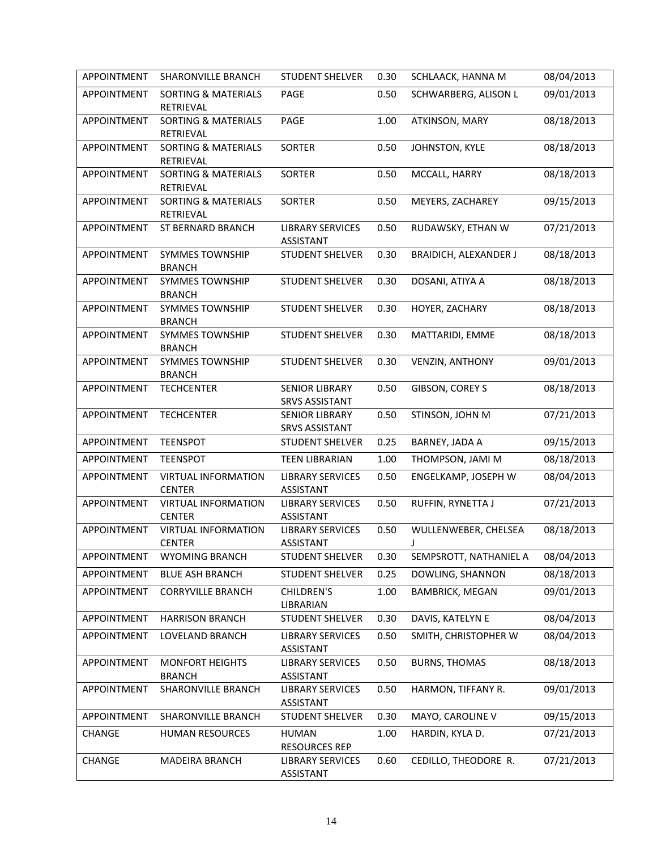| APPOINTMENT        | SHARONVILLE BRANCH                          | <b>STUDENT SHELVER</b>                         | 0.30 | SCHLAACK, HANNA M            | 08/04/2013 |
|--------------------|---------------------------------------------|------------------------------------------------|------|------------------------------|------------|
| <b>APPOINTMENT</b> | <b>SORTING &amp; MATERIALS</b><br>RETRIEVAL | PAGE                                           | 0.50 | SCHWARBERG, ALISON L         | 09/01/2013 |
| APPOINTMENT        | <b>SORTING &amp; MATERIALS</b><br>RETRIEVAL | PAGE                                           | 1.00 | ATKINSON, MARY               | 08/18/2013 |
| APPOINTMENT        | <b>SORTING &amp; MATERIALS</b><br>RETRIEVAL | <b>SORTER</b>                                  | 0.50 | JOHNSTON, KYLE               | 08/18/2013 |
| APPOINTMENT        | <b>SORTING &amp; MATERIALS</b><br>RETRIEVAL | <b>SORTER</b>                                  | 0.50 | MCCALL, HARRY                | 08/18/2013 |
| APPOINTMENT        | <b>SORTING &amp; MATERIALS</b><br>RETRIEVAL | <b>SORTER</b>                                  | 0.50 | MEYERS, ZACHAREY             | 09/15/2013 |
| APPOINTMENT        | ST BERNARD BRANCH                           | <b>LIBRARY SERVICES</b><br><b>ASSISTANT</b>    | 0.50 | RUDAWSKY, ETHAN W            | 07/21/2013 |
| APPOINTMENT        | <b>SYMMES TOWNSHIP</b><br><b>BRANCH</b>     | <b>STUDENT SHELVER</b>                         | 0.30 | <b>BRAIDICH, ALEXANDER J</b> | 08/18/2013 |
| APPOINTMENT        | <b>SYMMES TOWNSHIP</b><br><b>BRANCH</b>     | <b>STUDENT SHELVER</b>                         | 0.30 | DOSANI, ATIYA A              | 08/18/2013 |
| APPOINTMENT        | <b>SYMMES TOWNSHIP</b><br><b>BRANCH</b>     | <b>STUDENT SHELVER</b>                         | 0.30 | HOYER, ZACHARY               | 08/18/2013 |
| APPOINTMENT        | <b>SYMMES TOWNSHIP</b><br><b>BRANCH</b>     | <b>STUDENT SHELVER</b>                         | 0.30 | MATTARIDI, EMME              | 08/18/2013 |
| APPOINTMENT        | <b>SYMMES TOWNSHIP</b><br><b>BRANCH</b>     | <b>STUDENT SHELVER</b>                         | 0.30 | <b>VENZIN, ANTHONY</b>       | 09/01/2013 |
| APPOINTMENT        | <b>TECHCENTER</b>                           | <b>SENIOR LIBRARY</b><br><b>SRVS ASSISTANT</b> | 0.50 | GIBSON, COREY S              | 08/18/2013 |
| APPOINTMENT        | <b>TECHCENTER</b>                           | <b>SENIOR LIBRARY</b><br><b>SRVS ASSISTANT</b> | 0.50 | STINSON, JOHN M              | 07/21/2013 |
| APPOINTMENT        | <b>TEENSPOT</b>                             | <b>STUDENT SHELVER</b>                         | 0.25 | BARNEY, JADA A               | 09/15/2013 |
| APPOINTMENT        | <b>TEENSPOT</b>                             | <b>TEEN LIBRARIAN</b>                          | 1.00 | THOMPSON, JAMI M             | 08/18/2013 |
| APPOINTMENT        | <b>VIRTUAL INFORMATION</b><br><b>CENTER</b> | <b>LIBRARY SERVICES</b><br><b>ASSISTANT</b>    | 0.50 | ENGELKAMP, JOSEPH W          | 08/04/2013 |
| APPOINTMENT        | <b>VIRTUAL INFORMATION</b><br><b>CENTER</b> | <b>LIBRARY SERVICES</b><br>ASSISTANT           | 0.50 | RUFFIN, RYNETTA J            | 07/21/2013 |
| APPOINTMENT        | <b>VIRTUAL INFORMATION</b><br><b>CENTER</b> | <b>LIBRARY SERVICES</b><br>ASSISTANT           | 0.50 | WULLENWEBER, CHELSEA<br>J    | 08/18/2013 |
| <b>APPOINTMENT</b> | <b>WYOMING BRANCH</b>                       | <b>STUDENT SHELVER</b>                         | 0.30 | SEMPSROTT, NATHANIEL A       | 08/04/2013 |
| APPOINTMENT        | <b>BLUE ASH BRANCH</b>                      | <b>STUDENT SHELVER</b>                         | 0.25 | DOWLING, SHANNON             | 08/18/2013 |
| <b>APPOINTMENT</b> | <b>CORRYVILLE BRANCH</b>                    | <b>CHILDREN'S</b><br>LIBRARIAN                 | 1.00 | <b>BAMBRICK, MEGAN</b>       | 09/01/2013 |
| APPOINTMENT        | <b>HARRISON BRANCH</b>                      | <b>STUDENT SHELVER</b>                         | 0.30 | DAVIS, KATELYN E             | 08/04/2013 |
| APPOINTMENT        | LOVELAND BRANCH                             | <b>LIBRARY SERVICES</b><br><b>ASSISTANT</b>    | 0.50 | SMITH, CHRISTOPHER W         | 08/04/2013 |
| APPOINTMENT        | <b>MONFORT HEIGHTS</b><br><b>BRANCH</b>     | <b>LIBRARY SERVICES</b><br><b>ASSISTANT</b>    | 0.50 | <b>BURNS, THOMAS</b>         | 08/18/2013 |
| APPOINTMENT        | SHARONVILLE BRANCH                          | <b>LIBRARY SERVICES</b><br><b>ASSISTANT</b>    | 0.50 | HARMON, TIFFANY R.           | 09/01/2013 |
| APPOINTMENT        | SHARONVILLE BRANCH                          | <b>STUDENT SHELVER</b>                         | 0.30 | MAYO, CAROLINE V             | 09/15/2013 |
| CHANGE             | <b>HUMAN RESOURCES</b>                      | <b>HUMAN</b><br><b>RESOURCES REP</b>           | 1.00 | HARDIN, KYLA D.              | 07/21/2013 |
| CHANGE             | MADEIRA BRANCH                              | <b>LIBRARY SERVICES</b><br>ASSISTANT           | 0.60 | CEDILLO, THEODORE R.         | 07/21/2013 |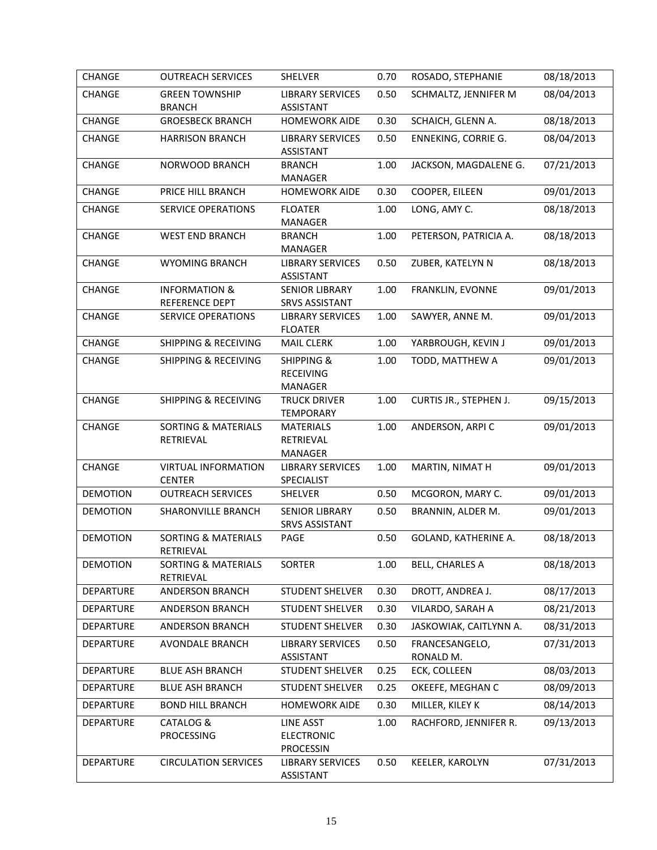| CHANGE           | <b>OUTREACH SERVICES</b>                    | SHELVER                                                     | 0.70 | ROSADO, STEPHANIE           | 08/18/2013 |
|------------------|---------------------------------------------|-------------------------------------------------------------|------|-----------------------------|------------|
| CHANGE           | <b>GREEN TOWNSHIP</b><br><b>BRANCH</b>      | <b>LIBRARY SERVICES</b><br><b>ASSISTANT</b>                 | 0.50 | SCHMALTZ, JENNIFER M        | 08/04/2013 |
| CHANGE           | <b>GROESBECK BRANCH</b>                     | <b>HOMEWORK AIDE</b>                                        | 0.30 | SCHAICH, GLENN A.           | 08/18/2013 |
| CHANGE           | <b>HARRISON BRANCH</b>                      | <b>LIBRARY SERVICES</b><br><b>ASSISTANT</b>                 | 0.50 | <b>ENNEKING, CORRIE G.</b>  | 08/04/2013 |
| CHANGE           | NORWOOD BRANCH                              | <b>BRANCH</b><br>MANAGER                                    | 1.00 | JACKSON, MAGDALENE G.       | 07/21/2013 |
| CHANGE           | PRICE HILL BRANCH                           | <b>HOMEWORK AIDE</b>                                        | 0.30 | COOPER, EILEEN              | 09/01/2013 |
| CHANGE           | <b>SERVICE OPERATIONS</b>                   | <b>FLOATER</b><br><b>MANAGER</b>                            | 1.00 | LONG, AMY C.                | 08/18/2013 |
| CHANGE           | <b>WEST END BRANCH</b>                      | <b>BRANCH</b><br>MANAGER                                    | 1.00 | PETERSON, PATRICIA A.       | 08/18/2013 |
| CHANGE           | <b>WYOMING BRANCH</b>                       | <b>LIBRARY SERVICES</b><br><b>ASSISTANT</b>                 | 0.50 | ZUBER, KATELYN N            | 08/18/2013 |
| CHANGE           | <b>INFORMATION &amp;</b><br>REFERENCE DEPT  | <b>SENIOR LIBRARY</b><br><b>SRVS ASSISTANT</b>              | 1.00 | FRANKLIN, EVONNE            | 09/01/2013 |
| CHANGE           | SERVICE OPERATIONS                          | <b>LIBRARY SERVICES</b><br><b>FLOATER</b>                   | 1.00 | SAWYER, ANNE M.             | 09/01/2013 |
| CHANGE           | <b>SHIPPING &amp; RECEIVING</b>             | <b>MAIL CLERK</b>                                           | 1.00 | YARBROUGH, KEVIN J          | 09/01/2013 |
| CHANGE           | <b>SHIPPING &amp; RECEIVING</b>             | <b>SHIPPING &amp;</b><br><b>RECEIVING</b><br><b>MANAGER</b> | 1.00 | TODD, MATTHEW A             | 09/01/2013 |
| CHANGE           | <b>SHIPPING &amp; RECEIVING</b>             | <b>TRUCK DRIVER</b><br><b>TEMPORARY</b>                     | 1.00 | CURTIS JR., STEPHEN J.      | 09/15/2013 |
| CHANGE           | <b>SORTING &amp; MATERIALS</b><br>RETRIEVAL | <b>MATERIALS</b><br>RETRIEVAL<br>MANAGER                    | 1.00 | ANDERSON, ARPIC             | 09/01/2013 |
| CHANGE           | <b>VIRTUAL INFORMATION</b><br><b>CENTER</b> | <b>LIBRARY SERVICES</b><br>SPECIALIST                       | 1.00 | MARTIN, NIMAT H             | 09/01/2013 |
| <b>DEMOTION</b>  | <b>OUTREACH SERVICES</b>                    | SHELVER                                                     | 0.50 | MCGORON, MARY C.            | 09/01/2013 |
| <b>DEMOTION</b>  | SHARONVILLE BRANCH                          | <b>SENIOR LIBRARY</b><br><b>SRVS ASSISTANT</b>              | 0.50 | BRANNIN, ALDER M.           | 09/01/2013 |
| <b>DEMOTION</b>  | <b>SORTING &amp; MATERIALS</b><br>RETRIEVAL | PAGE                                                        | 0.50 | GOLAND, KATHERINE A.        | 08/18/2013 |
| <b>DEMOTION</b>  | SORTING & MATERIALS<br>RETRIEVAL            | SORTER                                                      | 1.00 | <b>BELL, CHARLES A</b>      | 08/18/2013 |
| <b>DEPARTURE</b> | ANDERSON BRANCH                             | <b>STUDENT SHELVER</b>                                      | 0.30 | DROTT, ANDREA J.            | 08/17/2013 |
| DEPARTURE        | ANDERSON BRANCH                             | <b>STUDENT SHELVER</b>                                      | 0.30 | VILARDO, SARAH A            | 08/21/2013 |
| DEPARTURE        | ANDERSON BRANCH                             | <b>STUDENT SHELVER</b>                                      | 0.30 | JASKOWIAK, CAITLYNN A.      | 08/31/2013 |
| <b>DEPARTURE</b> | AVONDALE BRANCH                             | <b>LIBRARY SERVICES</b><br><b>ASSISTANT</b>                 | 0.50 | FRANCESANGELO,<br>RONALD M. | 07/31/2013 |
| DEPARTURE        | <b>BLUE ASH BRANCH</b>                      | <b>STUDENT SHELVER</b>                                      | 0.25 | ECK, COLLEEN                | 08/03/2013 |
| DEPARTURE        | <b>BLUE ASH BRANCH</b>                      | <b>STUDENT SHELVER</b>                                      | 0.25 | OKEEFE, MEGHAN C            | 08/09/2013 |
| DEPARTURE        | <b>BOND HILL BRANCH</b>                     | <b>HOMEWORK AIDE</b>                                        | 0.30 | MILLER, KILEY K             | 08/14/2013 |
| DEPARTURE        | CATALOG &<br>PROCESSING                     | <b>LINE ASST</b><br><b>ELECTRONIC</b><br><b>PROCESSIN</b>   | 1.00 | RACHFORD, JENNIFER R.       | 09/13/2013 |
| DEPARTURE        | <b>CIRCULATION SERVICES</b>                 | <b>LIBRARY SERVICES</b><br><b>ASSISTANT</b>                 | 0.50 | KEELER, KAROLYN             | 07/31/2013 |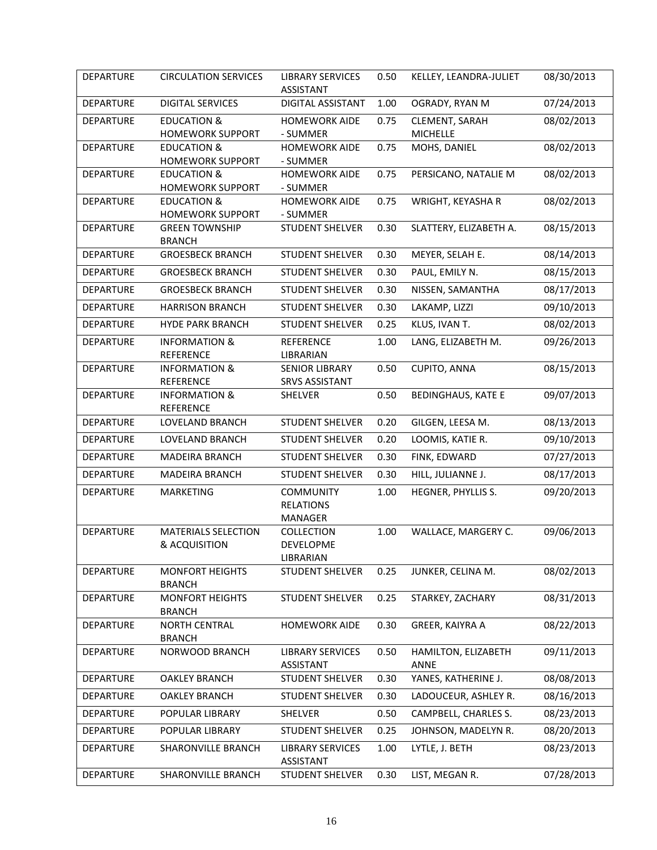| DEPARTURE        | <b>CIRCULATION SERVICES</b>                       | <b>LIBRARY SERVICES</b><br><b>ASSISTANT</b>     | 0.50 | KELLEY, LEANDRA-JULIET            | 08/30/2013 |
|------------------|---------------------------------------------------|-------------------------------------------------|------|-----------------------------------|------------|
| <b>DEPARTURE</b> | <b>DIGITAL SERVICES</b>                           | DIGITAL ASSISTANT                               | 1.00 | OGRADY, RYAN M                    | 07/24/2013 |
| <b>DEPARTURE</b> | <b>EDUCATION &amp;</b><br><b>HOMEWORK SUPPORT</b> | <b>HOMEWORK AIDE</b><br>- SUMMER                | 0.75 | CLEMENT, SARAH<br><b>MICHELLE</b> | 08/02/2013 |
| <b>DEPARTURE</b> | <b>EDUCATION &amp;</b><br><b>HOMEWORK SUPPORT</b> | <b>HOMEWORK AIDE</b><br>- SUMMER                | 0.75 | MOHS, DANIEL                      | 08/02/2013 |
| <b>DEPARTURE</b> | <b>EDUCATION &amp;</b><br><b>HOMEWORK SUPPORT</b> | <b>HOMEWORK AIDE</b><br>- SUMMER                | 0.75 | PERSICANO, NATALIE M              | 08/02/2013 |
| <b>DEPARTURE</b> | <b>EDUCATION &amp;</b><br><b>HOMEWORK SUPPORT</b> | <b>HOMEWORK AIDE</b><br>- SUMMER                | 0.75 | WRIGHT, KEYASHA R                 | 08/02/2013 |
| <b>DEPARTURE</b> | <b>GREEN TOWNSHIP</b><br><b>BRANCH</b>            | <b>STUDENT SHELVER</b>                          | 0.30 | SLATTERY, ELIZABETH A.            | 08/15/2013 |
| DEPARTURE        | <b>GROESBECK BRANCH</b>                           | <b>STUDENT SHELVER</b>                          | 0.30 | MEYER, SELAH E.                   | 08/14/2013 |
| DEPARTURE        | <b>GROESBECK BRANCH</b>                           | <b>STUDENT SHELVER</b>                          | 0.30 | PAUL, EMILY N.                    | 08/15/2013 |
| DEPARTURE        | <b>GROESBECK BRANCH</b>                           | <b>STUDENT SHELVER</b>                          | 0.30 | NISSEN, SAMANTHA                  | 08/17/2013 |
| DEPARTURE        | <b>HARRISON BRANCH</b>                            | <b>STUDENT SHELVER</b>                          | 0.30 | LAKAMP, LIZZI                     | 09/10/2013 |
| <b>DEPARTURE</b> | <b>HYDE PARK BRANCH</b>                           | <b>STUDENT SHELVER</b>                          | 0.25 | KLUS, IVAN T.                     | 08/02/2013 |
| <b>DEPARTURE</b> | <b>INFORMATION &amp;</b><br><b>REFERENCE</b>      | <b>REFERENCE</b><br>LIBRARIAN                   | 1.00 | LANG, ELIZABETH M.                | 09/26/2013 |
| <b>DEPARTURE</b> | <b>INFORMATION &amp;</b><br><b>REFERENCE</b>      | <b>SENIOR LIBRARY</b><br><b>SRVS ASSISTANT</b>  | 0.50 | CUPITO, ANNA                      | 08/15/2013 |
| <b>DEPARTURE</b> | <b>INFORMATION &amp;</b><br><b>REFERENCE</b>      | SHELVER                                         | 0.50 | <b>BEDINGHAUS, KATE E</b>         | 09/07/2013 |
| <b>DEPARTURE</b> | LOVELAND BRANCH                                   | <b>STUDENT SHELVER</b>                          | 0.20 | GILGEN, LEESA M.                  | 08/13/2013 |
| DEPARTURE        | LOVELAND BRANCH                                   | <b>STUDENT SHELVER</b>                          | 0.20 | LOOMIS, KATIE R.                  | 09/10/2013 |
| <b>DEPARTURE</b> | <b>MADEIRA BRANCH</b>                             | <b>STUDENT SHELVER</b>                          | 0.30 | FINK, EDWARD                      | 07/27/2013 |
| DEPARTURE        | <b>MADEIRA BRANCH</b>                             | <b>STUDENT SHELVER</b>                          | 0.30 | HILL, JULIANNE J.                 | 08/17/2013 |
| <b>DEPARTURE</b> | <b>MARKETING</b>                                  | <b>COMMUNITY</b><br><b>RELATIONS</b><br>MANAGER | 1.00 | HEGNER, PHYLLIS S.                | 09/20/2013 |
| <b>DEPARTURE</b> | <b>MATERIALS SELECTION</b><br>& ACQUISITION       | COLLECTION<br>DEVELOPME<br>LIBRARIAN            | 1.00 | WALLACE, MARGERY C.               | 09/06/2013 |
| DEPARTURE        | <b>MONFORT HEIGHTS</b><br><b>BRANCH</b>           | <b>STUDENT SHELVER</b>                          | 0.25 | JUNKER, CELINA M.                 | 08/02/2013 |
| DEPARTURE        | <b>MONFORT HEIGHTS</b><br><b>BRANCH</b>           | <b>STUDENT SHELVER</b>                          | 0.25 | STARKEY, ZACHARY                  | 08/31/2013 |
| DEPARTURE        | <b>NORTH CENTRAL</b><br><b>BRANCH</b>             | <b>HOMEWORK AIDE</b>                            | 0.30 | GREER, KAIYRA A                   | 08/22/2013 |
| DEPARTURE        | NORWOOD BRANCH                                    | <b>LIBRARY SERVICES</b><br><b>ASSISTANT</b>     | 0.50 | HAMILTON, ELIZABETH<br>ANNE       | 09/11/2013 |
| DEPARTURE        | <b>OAKLEY BRANCH</b>                              | <b>STUDENT SHELVER</b>                          | 0.30 | YANES, KATHERINE J.               | 08/08/2013 |
| <b>DEPARTURE</b> | <b>OAKLEY BRANCH</b>                              | <b>STUDENT SHELVER</b>                          | 0.30 | LADOUCEUR, ASHLEY R.              | 08/16/2013 |
| DEPARTURE        | POPULAR LIBRARY                                   | SHELVER                                         | 0.50 | CAMPBELL, CHARLES S.              | 08/23/2013 |
| DEPARTURE        | POPULAR LIBRARY                                   | <b>STUDENT SHELVER</b>                          | 0.25 | JOHNSON, MADELYN R.               | 08/20/2013 |
| <b>DEPARTURE</b> | SHARONVILLE BRANCH                                | <b>LIBRARY SERVICES</b><br><b>ASSISTANT</b>     | 1.00 | LYTLE, J. BETH                    | 08/23/2013 |
| DEPARTURE        | SHARONVILLE BRANCH                                | <b>STUDENT SHELVER</b>                          | 0.30 | LIST, MEGAN R.                    | 07/28/2013 |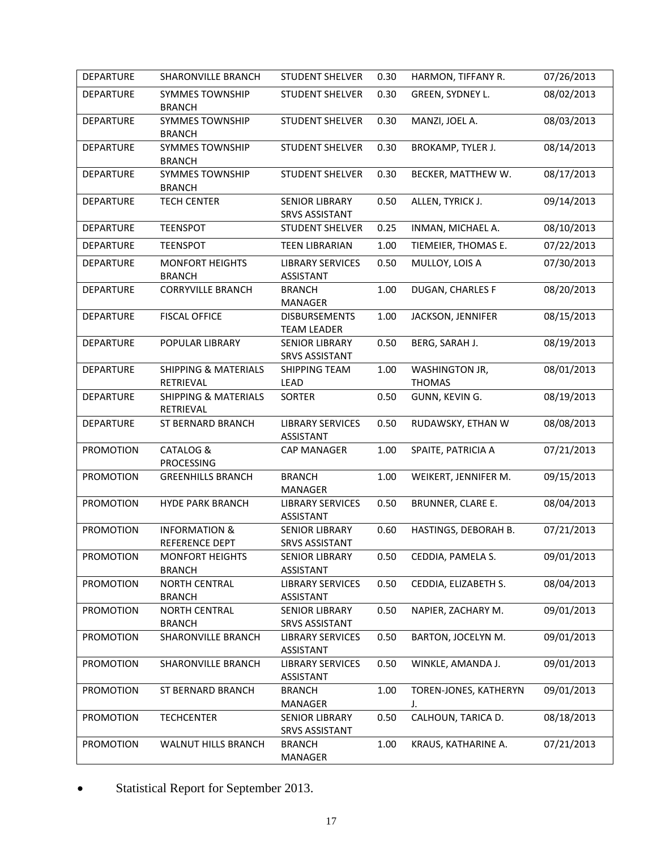| <b>DEPARTURE</b> | SHARONVILLE BRANCH                                | <b>STUDENT SHELVER</b>                         | 0.30 | HARMON, TIFFANY R.                     | 07/26/2013 |
|------------------|---------------------------------------------------|------------------------------------------------|------|----------------------------------------|------------|
| <b>DEPARTURE</b> | <b>SYMMES TOWNSHIP</b><br><b>BRANCH</b>           | <b>STUDENT SHELVER</b>                         | 0.30 | GREEN, SYDNEY L.                       | 08/02/2013 |
| <b>DEPARTURE</b> | <b>SYMMES TOWNSHIP</b><br><b>BRANCH</b>           | <b>STUDENT SHELVER</b>                         | 0.30 | MANZI, JOEL A.                         | 08/03/2013 |
| <b>DEPARTURE</b> | SYMMES TOWNSHIP<br><b>BRANCH</b>                  | <b>STUDENT SHELVER</b>                         | 0.30 | <b>BROKAMP, TYLER J.</b>               | 08/14/2013 |
| <b>DEPARTURE</b> | SYMMES TOWNSHIP<br><b>BRANCH</b>                  | <b>STUDENT SHELVER</b>                         | 0.30 | BECKER, MATTHEW W.                     | 08/17/2013 |
| <b>DEPARTURE</b> | <b>TECH CENTER</b>                                | <b>SENIOR LIBRARY</b><br><b>SRVS ASSISTANT</b> | 0.50 | ALLEN, TYRICK J.                       | 09/14/2013 |
| DEPARTURE        | <b>TEENSPOT</b>                                   | <b>STUDENT SHELVER</b>                         | 0.25 | INMAN, MICHAEL A.                      | 08/10/2013 |
| <b>DEPARTURE</b> | <b>TEENSPOT</b>                                   | <b>TEEN LIBRARIAN</b>                          | 1.00 | TIEMEIER, THOMAS E.                    | 07/22/2013 |
| <b>DEPARTURE</b> | <b>MONFORT HEIGHTS</b><br><b>BRANCH</b>           | <b>LIBRARY SERVICES</b><br><b>ASSISTANT</b>    | 0.50 | MULLOY, LOIS A                         | 07/30/2013 |
| <b>DEPARTURE</b> | <b>CORRYVILLE BRANCH</b>                          | <b>BRANCH</b><br>MANAGER                       | 1.00 | DUGAN, CHARLES F                       | 08/20/2013 |
| <b>DEPARTURE</b> | <b>FISCAL OFFICE</b>                              | <b>DISBURSEMENTS</b><br><b>TEAM LEADER</b>     | 1.00 | JACKSON, JENNIFER                      | 08/15/2013 |
| DEPARTURE        | POPULAR LIBRARY                                   | <b>SENIOR LIBRARY</b><br><b>SRVS ASSISTANT</b> | 0.50 | BERG, SARAH J.                         | 08/19/2013 |
| <b>DEPARTURE</b> | <b>SHIPPING &amp; MATERIALS</b><br>RETRIEVAL      | <b>SHIPPING TEAM</b><br>LEAD                   | 1.00 | <b>WASHINGTON JR,</b><br><b>THOMAS</b> | 08/01/2013 |
| <b>DEPARTURE</b> | <b>SHIPPING &amp; MATERIALS</b><br>RETRIEVAL      | <b>SORTER</b>                                  | 0.50 | GUNN, KEVIN G.                         | 08/19/2013 |
| <b>DEPARTURE</b> | ST BERNARD BRANCH                                 | <b>LIBRARY SERVICES</b><br><b>ASSISTANT</b>    | 0.50 | RUDAWSKY, ETHAN W                      | 08/08/2013 |
| PROMOTION        | CATALOG &<br><b>PROCESSING</b>                    | CAP MANAGER                                    | 1.00 | SPAITE, PATRICIA A                     | 07/21/2013 |
| <b>PROMOTION</b> | <b>GREENHILLS BRANCH</b>                          | <b>BRANCH</b><br>MANAGER                       | 1.00 | WEIKERT, JENNIFER M.                   | 09/15/2013 |
| <b>PROMOTION</b> | <b>HYDE PARK BRANCH</b>                           | <b>LIBRARY SERVICES</b><br><b>ASSISTANT</b>    | 0.50 | BRUNNER, CLARE E.                      | 08/04/2013 |
| PROMOTION        | <b>INFORMATION &amp;</b><br><b>REFERENCE DEPT</b> | <b>SENIOR LIBRARY</b><br><b>SRVS ASSISTANT</b> | 0.60 | HASTINGS, DEBORAH B.                   | 07/21/2013 |
| PROMOTION        | <b>MONFORT HEIGHTS</b><br><b>BRANCH</b>           | <b>SENIOR LIBRARY</b><br>ASSISTANT             | 0.50 | CEDDIA, PAMELA S.                      | 09/01/2013 |
| PROMOTION        | <b>NORTH CENTRAL</b><br><b>BRANCH</b>             | <b>LIBRARY SERVICES</b><br>ASSISTANT           | 0.50 | CEDDIA, ELIZABETH S.                   | 08/04/2013 |
| <b>PROMOTION</b> | <b>NORTH CENTRAL</b><br><b>BRANCH</b>             | <b>SENIOR LIBRARY</b><br><b>SRVS ASSISTANT</b> | 0.50 | NAPIER, ZACHARY M.                     | 09/01/2013 |
| <b>PROMOTION</b> | SHARONVILLE BRANCH                                | <b>LIBRARY SERVICES</b><br><b>ASSISTANT</b>    | 0.50 | BARTON, JOCELYN M.                     | 09/01/2013 |
| <b>PROMOTION</b> | SHARONVILLE BRANCH                                | <b>LIBRARY SERVICES</b><br><b>ASSISTANT</b>    | 0.50 | WINKLE, AMANDA J.                      | 09/01/2013 |
| <b>PROMOTION</b> | ST BERNARD BRANCH                                 | <b>BRANCH</b><br>MANAGER                       | 1.00 | TOREN-JONES, KATHERYN<br>J.            | 09/01/2013 |
| <b>PROMOTION</b> | <b>TECHCENTER</b>                                 | <b>SENIOR LIBRARY</b><br><b>SRVS ASSISTANT</b> | 0.50 | CALHOUN, TARICA D.                     | 08/18/2013 |
| PROMOTION        | <b>WALNUT HILLS BRANCH</b>                        | <b>BRANCH</b><br>MANAGER                       | 1.00 | KRAUS, KATHARINE A.                    | 07/21/2013 |

Statistical Report for September 2013.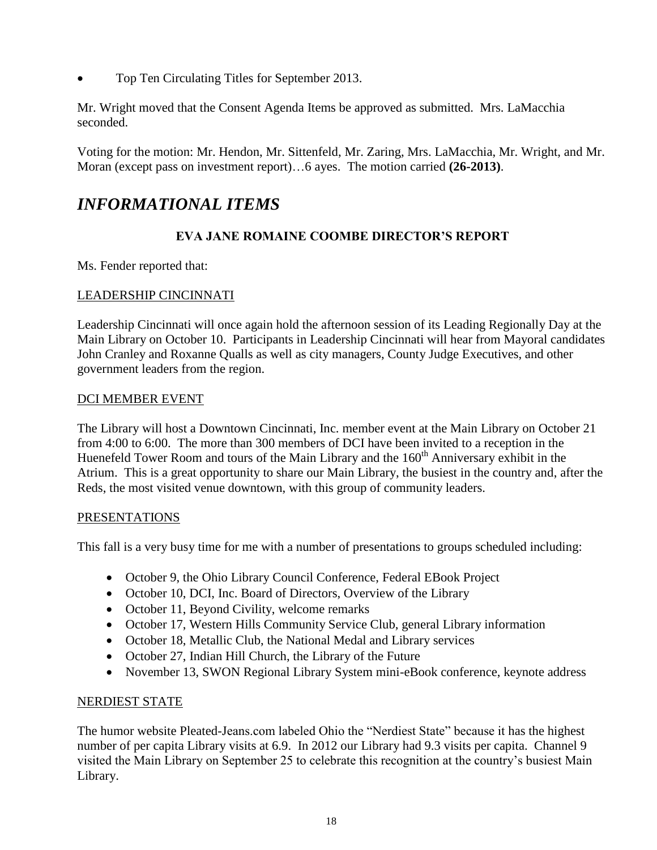Top Ten Circulating Titles for September 2013.

Mr. Wright moved that the Consent Agenda Items be approved as submitted. Mrs. LaMacchia seconded.

Voting for the motion: Mr. Hendon, Mr. Sittenfeld, Mr. Zaring, Mrs. LaMacchia, Mr. Wright, and Mr. Moran (except pass on investment report)…6 ayes. The motion carried **(26-2013)**.

# *INFORMATIONAL ITEMS*

# **EVA JANE ROMAINE COOMBE DIRECTOR'S REPORT**

Ms. Fender reported that:

# LEADERSHIP CINCINNATI

Leadership Cincinnati will once again hold the afternoon session of its Leading Regionally Day at the Main Library on October 10. Participants in Leadership Cincinnati will hear from Mayoral candidates John Cranley and Roxanne Qualls as well as city managers, County Judge Executives, and other government leaders from the region.

## DCI MEMBER EVENT

The Library will host a Downtown Cincinnati, Inc. member event at the Main Library on October 21 from 4:00 to 6:00. The more than 300 members of DCI have been invited to a reception in the Huenefeld Tower Room and tours of the Main Library and the  $160<sup>th</sup>$  Anniversary exhibit in the Atrium. This is a great opportunity to share our Main Library, the busiest in the country and, after the Reds, the most visited venue downtown, with this group of community leaders.

## PRESENTATIONS

This fall is a very busy time for me with a number of presentations to groups scheduled including:

- October 9, the Ohio Library Council Conference, Federal EBook Project
- October 10, DCI, Inc. Board of Directors, Overview of the Library
- October 11, Beyond Civility, welcome remarks
- October 17, Western Hills Community Service Club, general Library information
- October 18, Metallic Club, the National Medal and Library services
- October 27, Indian Hill Church, the Library of the Future
- November 13, SWON Regional Library System mini-eBook conference, keynote address

## NERDIEST STATE

The humor website Pleated-Jeans.com labeled Ohio the "Nerdiest State" because it has the highest number of per capita Library visits at 6.9. In 2012 our Library had 9.3 visits per capita. Channel 9 visited the Main Library on September 25 to celebrate this recognition at the country's busiest Main Library.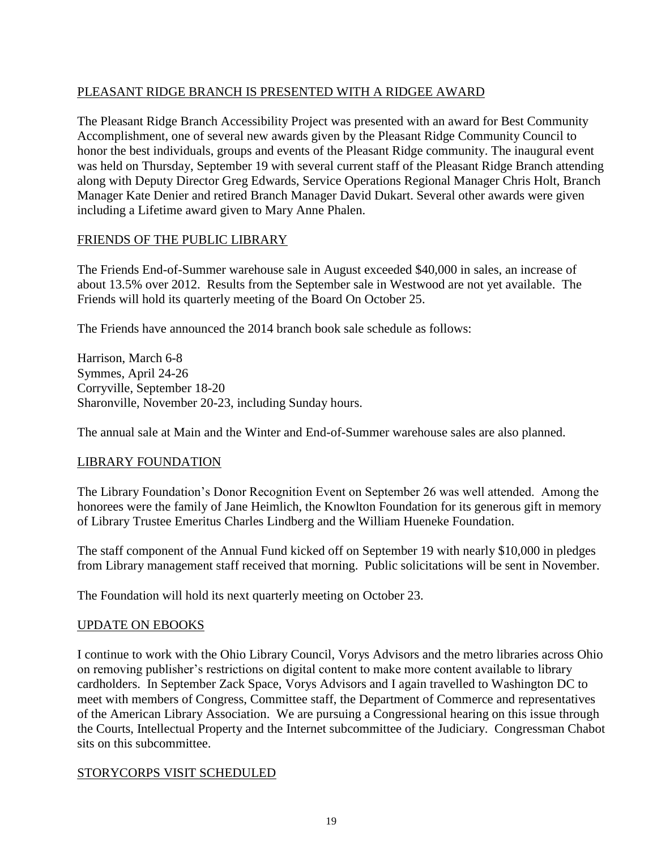# PLEASANT RIDGE BRANCH IS PRESENTED WITH A RIDGEE AWARD

The Pleasant Ridge Branch Accessibility Project was presented with an award for Best Community Accomplishment, one of several new awards given by the Pleasant Ridge Community Council to honor the best individuals, groups and events of the Pleasant Ridge community. The inaugural event was held on Thursday, September 19 with several current staff of the Pleasant Ridge Branch attending along with Deputy Director Greg Edwards, Service Operations Regional Manager Chris Holt, Branch Manager Kate Denier and retired Branch Manager David Dukart. Several other awards were given including a Lifetime award given to Mary Anne Phalen.

# FRIENDS OF THE PUBLIC LIBRARY

The Friends End-of-Summer warehouse sale in August exceeded \$40,000 in sales, an increase of about 13.5% over 2012. Results from the September sale in Westwood are not yet available. The Friends will hold its quarterly meeting of the Board On October 25.

The Friends have announced the 2014 branch book sale schedule as follows:

Harrison, March 6-8 Symmes, April 24-26 Corryville, September 18-20 Sharonville, November 20-23, including Sunday hours.

The annual sale at Main and the Winter and End-of-Summer warehouse sales are also planned.

## LIBRARY FOUNDATION

The Library Foundation's Donor Recognition Event on September 26 was well attended. Among the honorees were the family of Jane Heimlich, the Knowlton Foundation for its generous gift in memory of Library Trustee Emeritus Charles Lindberg and the William Hueneke Foundation.

The staff component of the Annual Fund kicked off on September 19 with nearly \$10,000 in pledges from Library management staff received that morning. Public solicitations will be sent in November.

The Foundation will hold its next quarterly meeting on October 23.

## UPDATE ON EBOOKS

I continue to work with the Ohio Library Council, Vorys Advisors and the metro libraries across Ohio on removing publisher's restrictions on digital content to make more content available to library cardholders. In September Zack Space, Vorys Advisors and I again travelled to Washington DC to meet with members of Congress, Committee staff, the Department of Commerce and representatives of the American Library Association. We are pursuing a Congressional hearing on this issue through the Courts, Intellectual Property and the Internet subcommittee of the Judiciary. Congressman Chabot sits on this subcommittee.

## STORYCORPS VISIT SCHEDULED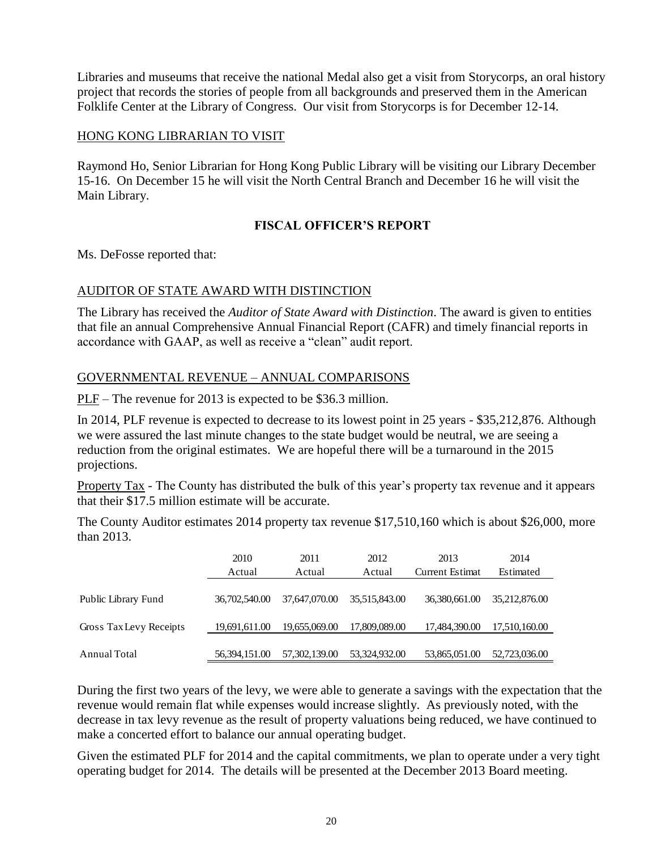Libraries and museums that receive the national Medal also get a visit from Storycorps, an oral history project that records the stories of people from all backgrounds and preserved them in the American Folklife Center at the Library of Congress. Our visit from Storycorps is for December 12-14.

#### HONG KONG LIBRARIAN TO VISIT

Raymond Ho, Senior Librarian for Hong Kong Public Library will be visiting our Library December 15-16. On December 15 he will visit the North Central Branch and December 16 he will visit the Main Library.

## **FISCAL OFFICER'S REPORT**

Ms. DeFosse reported that:

#### AUDITOR OF STATE AWARD WITH DISTINCTION

The Library has received the *Auditor of State Award with Distinction*. The award is given to entities that file an annual Comprehensive Annual Financial Report (CAFR) and timely financial reports in accordance with GAAP, as well as receive a "clean" audit report.

#### GOVERNMENTAL REVENUE – ANNUAL COMPARISONS

PLF – The revenue for 2013 is expected to be \$36.3 million.

In 2014, PLF revenue is expected to decrease to its lowest point in 25 years - \$35,212,876. Although we were assured the last minute changes to the state budget would be neutral, we are seeing a reduction from the original estimates. We are hopeful there will be a turnaround in the 2015 projections.

Property Tax - The County has distributed the bulk of this year's property tax revenue and it appears that their \$17.5 million estimate will be accurate.

The County Auditor estimates 2014 property tax revenue \$17,510,160 which is about \$26,000, more than 2013.

|                         | 2010<br>Actual  | 2011<br>Actual | 2012<br>Actual | 2013<br>Current Estimat | 2014<br>Estimated |
|-------------------------|-----------------|----------------|----------------|-------------------------|-------------------|
| Public Library Fund     | 36,702,540.00   | 37,647,070,00  | 35,515,843.00  | 36,380,661.00           | 35,212,876.00     |
| Gross Tax Levy Receipts | 19,691,611.00   | 19.655.069.00  | 17,809,089.00  | 17,484,390.00           | 17,510,160.00     |
| Annual Total            | 56, 394, 151.00 | 57,302,139,00  | 53,324,932,00  | 53,865,051.00           | 52,723,036.00     |

During the first two years of the levy, we were able to generate a savings with the expectation that the revenue would remain flat while expenses would increase slightly. As previously noted, with the decrease in tax levy revenue as the result of property valuations being reduced, we have continued to make a concerted effort to balance our annual operating budget.

Given the estimated PLF for 2014 and the capital commitments, we plan to operate under a very tight operating budget for 2014. The details will be presented at the December 2013 Board meeting.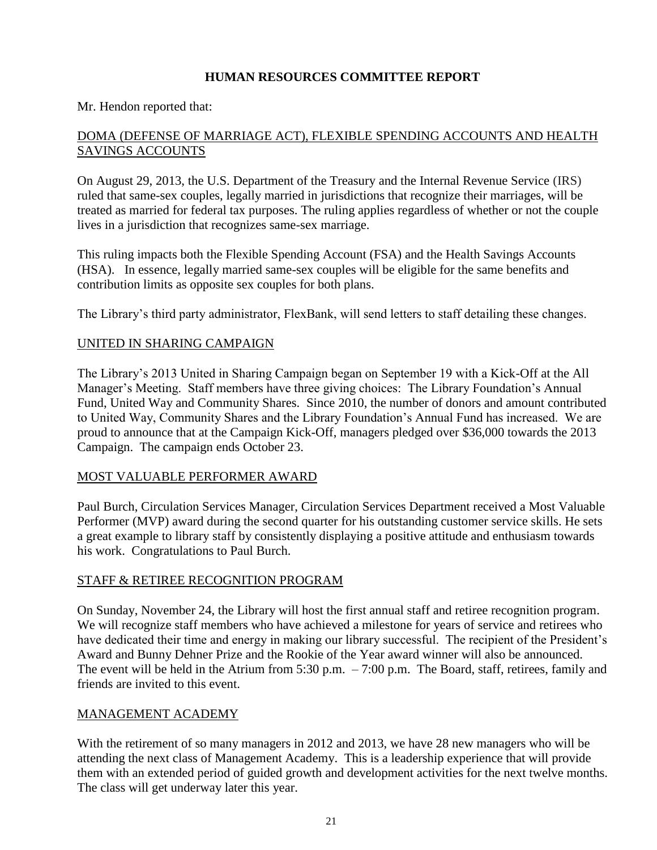# **HUMAN RESOURCES COMMITTEE REPORT**

#### Mr. Hendon reported that:

# DOMA (DEFENSE OF MARRIAGE ACT), FLEXIBLE SPENDING ACCOUNTS AND HEALTH SAVINGS ACCOUNTS

On August 29, 2013, the U.S. Department of the Treasury and the Internal Revenue Service (IRS) ruled that same-sex couples, legally married in jurisdictions that recognize their marriages, will be treated as married for federal tax purposes. The ruling applies regardless of whether or not the couple lives in a jurisdiction that recognizes same-sex marriage.

This ruling impacts both the Flexible Spending Account (FSA) and the Health Savings Accounts (HSA). In essence, legally married same-sex couples will be eligible for the same benefits and contribution limits as opposite sex couples for both plans.

The Library's third party administrator, FlexBank, will send letters to staff detailing these changes.

#### UNITED IN SHARING CAMPAIGN

The Library's 2013 United in Sharing Campaign began on September 19 with a Kick-Off at the All Manager's Meeting. Staff members have three giving choices: The Library Foundation's Annual Fund, United Way and Community Shares. Since 2010, the number of donors and amount contributed to United Way, Community Shares and the Library Foundation's Annual Fund has increased. We are proud to announce that at the Campaign Kick-Off, managers pledged over \$36,000 towards the 2013 Campaign. The campaign ends October 23.

#### MOST VALUABLE PERFORMER AWARD

Paul Burch, Circulation Services Manager, Circulation Services Department received a Most Valuable Performer (MVP) award during the second quarter for his outstanding customer service skills. He sets a great example to library staff by consistently displaying a positive attitude and enthusiasm towards his work. Congratulations to Paul Burch.

#### STAFF & RETIREE RECOGNITION PROGRAM

On Sunday, November 24, the Library will host the first annual staff and retiree recognition program. We will recognize staff members who have achieved a milestone for years of service and retirees who have dedicated their time and energy in making our library successful. The recipient of the President's Award and Bunny Dehner Prize and the Rookie of the Year award winner will also be announced. The event will be held in the Atrium from 5:30 p.m. – 7:00 p.m. The Board, staff, retirees, family and friends are invited to this event.

#### MANAGEMENT ACADEMY

With the retirement of so many managers in 2012 and 2013, we have 28 new managers who will be attending the next class of Management Academy. This is a leadership experience that will provide them with an extended period of guided growth and development activities for the next twelve months. The class will get underway later this year.